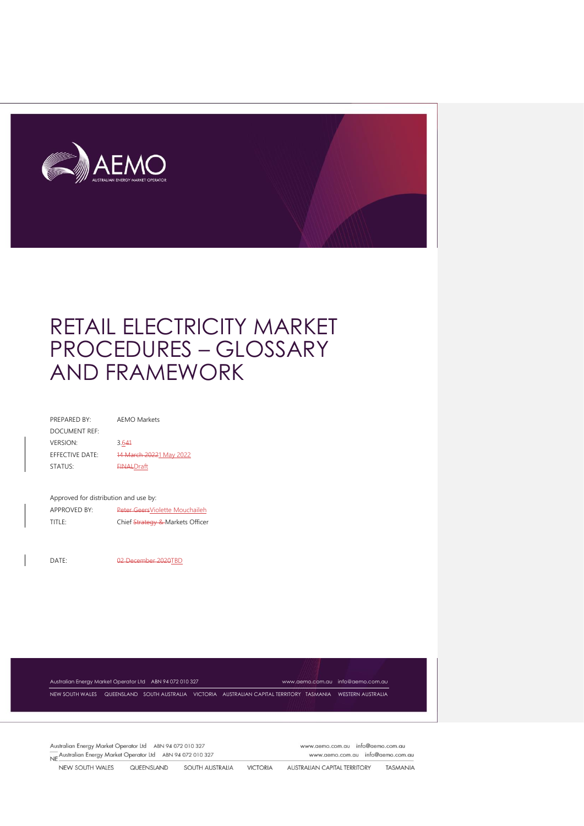

| PREPARED BY:           | AFMO Markets            |
|------------------------|-------------------------|
| DOCUMENT REF:          |                         |
| <b>VERSION:</b>        | 3.641                   |
| <b>FFFECTIVE DATE:</b> | 14 March 20221 May 2022 |
| STATUS:                | <b>FINALDraft</b>       |
|                        |                         |
|                        |                         |

| Approved for distribution and use by: |                                 |
|---------------------------------------|---------------------------------|
| ADDDOVED BY-                          | Dotor Conrellialetta Mauchailek |

| APPROVED BY: | Peter GeersViolette Mouchaileh   |
|--------------|----------------------------------|
| TITLE:       | Chief Strategy & Markets Officer |

DATE: 02 December 2020TBD

Australian Energy Market Operator Ltd ABN 94 072 010 327 [www.aemo.com.au](http://www.aemo.com.au/) [info@aemo.com.au](mailto:info@aemo.com.au)

NEW SOUTH WALES QUEENSLAND SOUTH AUSTRALIA VICTORIA AUSTRALIAN CAPITAL TERRITORY TASMANIA WESTERN AUSTRALIA

Australian Energy Market Operator Ltd ABN 94 072 010 327 NE Australian Energy Market Operator Ltd ABN 94 072 010 327 www.aemo.com.au info@aemo.com.au www.aemo.com.au info@aemo.com.au

NEW SOUTH WALES QUEENSLAND SOUTH AUSTRALIA VICTORIA AUSTRALIAN CAPITAL TERRITORY TASMANIA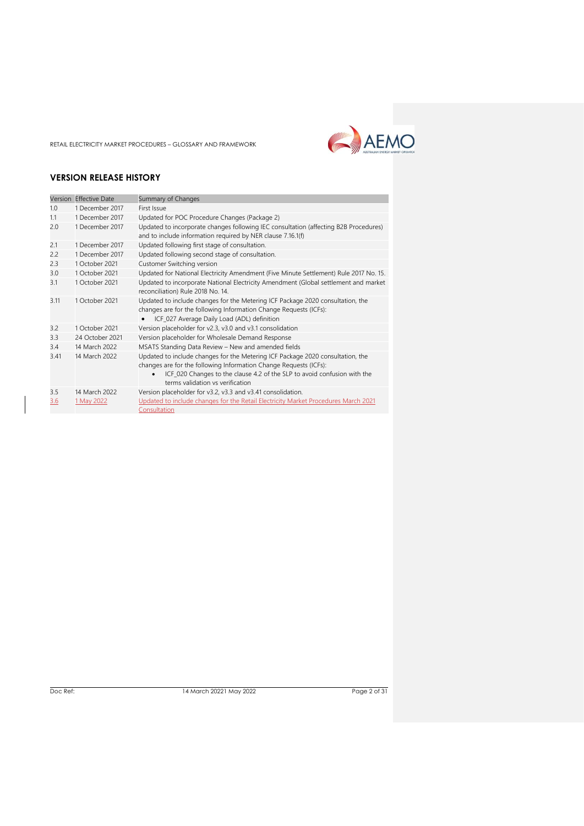

#### **VERSION RELEASE HISTORY**

| Version    | <b>Effective Date</b>       | Summary of Changes                                                                                                                                                                                                                                                  |
|------------|-----------------------------|---------------------------------------------------------------------------------------------------------------------------------------------------------------------------------------------------------------------------------------------------------------------|
| 1.0        | 1 December 2017             | First Issue                                                                                                                                                                                                                                                         |
| 1.1        | 1 December 2017             | Updated for POC Procedure Changes (Package 2)                                                                                                                                                                                                                       |
| 2.0        | 1 December 2017             | Updated to incorporate changes following IEC consultation (affecting B2B Procedures)<br>and to include information required by NER clause 7.16.1(f)                                                                                                                 |
| 2.1        | 1 December 2017             | Updated following first stage of consultation.                                                                                                                                                                                                                      |
| 2.2        | 1 December 2017             | Updated following second stage of consultation.                                                                                                                                                                                                                     |
| 2.3        | 1 October 2021              | Customer Switching version                                                                                                                                                                                                                                          |
| 3.0        | 1 October 2021              | Updated for National Electricity Amendment (Five Minute Settlement) Rule 2017 No. 15.                                                                                                                                                                               |
| 3.1        | 1 October 2021              | Updated to incorporate National Electricity Amendment (Global settlement and market<br>reconciliation) Rule 2018 No. 14.                                                                                                                                            |
| 3.11       | 1 October 2021              | Updated to include changes for the Metering ICF Package 2020 consultation, the<br>changes are for the following Information Change Requests (ICFs):<br>ICF_027 Average Daily Load (ADL) definition                                                                  |
| 3.2        | 1 October 2021              | Version placeholder for v2.3, v3.0 and v3.1 consolidation                                                                                                                                                                                                           |
| 3.3        | 24 October 2021             | Version placeholder for Wholesale Demand Response                                                                                                                                                                                                                   |
| 3.4        | 14 March 2022               | MSATS Standing Data Review - New and amended fields                                                                                                                                                                                                                 |
| 3.41       | 14 March 2022               | Updated to include changes for the Metering ICF Package 2020 consultation, the<br>changes are for the following Information Change Requests (ICFs):<br>ICF_020 Changes to the clause 4.2 of the SLP to avoid confusion with the<br>terms validation vs verification |
| 3.5<br>3.6 | 14 March 2022<br>1 May 2022 | Version placeholder for v3.2, v3.3 and v3.41 consolidation.<br>Updated to include changes for the Retail Electricity Market Procedures March 2021<br>Consultation                                                                                                   |

Doc Ref: 14 March 20221 May 2022 20031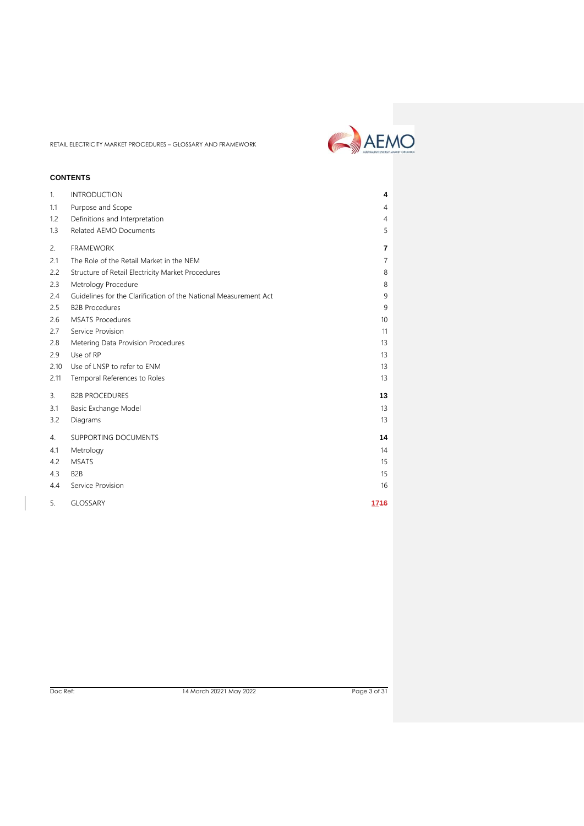

#### **CONTENTS**

| 1.   | <b>INTRODUCTION</b>                                              | 4               |  |
|------|------------------------------------------------------------------|-----------------|--|
| 1.1  | Purpose and Scope                                                | 4               |  |
| 1.2  | Definitions and Interpretation                                   | $\overline{4}$  |  |
| 1.3  | Related AEMO Documents                                           | 5               |  |
| 2.   | <b>FRAMEWORK</b>                                                 | $\overline{7}$  |  |
| 2.1  | The Role of the Retail Market in the NEM                         | $\overline{7}$  |  |
| 2.2  | Structure of Retail Electricity Market Procedures                | 8               |  |
| 2.3  | Metrology Procedure                                              | 8               |  |
| 2.4  | Guidelines for the Clarification of the National Measurement Act | 9               |  |
| 2.5  | <b>B2B Procedures</b>                                            | 9               |  |
| 2.6  | <b>MSATS Procedures</b>                                          | 10 <sup>°</sup> |  |
| 2.7  | Service Provision                                                | 11              |  |
| 2.8  | Metering Data Provision Procedures                               | 13              |  |
| 2.9  | Use of RP                                                        | 13              |  |
| 2.10 | Use of LNSP to refer to ENM                                      | 13              |  |
| 2.11 | Temporal References to Roles                                     | 13              |  |
| 3.   | <b>B2B PROCEDURES</b>                                            | 13              |  |
| 3.1  | Basic Exchange Model                                             | 13              |  |
| 3.2  | Diagrams                                                         | 13              |  |
| 4.   | SUPPORTING DOCUMENTS                                             | 14              |  |
| 4.1  | Metrology                                                        | 14              |  |
| 4.2  | <b>MSATS</b>                                                     | 15              |  |
| 4.3  | B <sub>2</sub> B                                                 | 15              |  |
| 4.4  | Service Provision                                                | 16              |  |
| 5.   | GLOSSARY                                                         | 1746            |  |
|      |                                                                  |                 |  |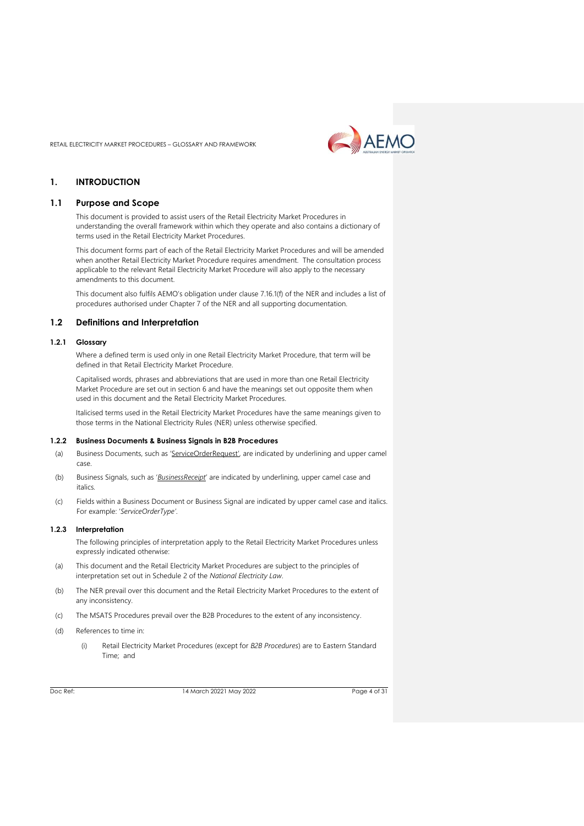

#### <span id="page-3-0"></span>**1. INTRODUCTION**

#### <span id="page-3-1"></span>**1.1 Purpose and Scope**

This document is provided to assist users of the Retail Electricity Market Procedures in understanding the overall framework within which they operate and also contains a dictionary of terms used in the Retail Electricity Market Procedures.

This document forms part of each of the Retail Electricity Market Procedures and will be amended when another Retail Electricity Market Procedure requires amendment. The consultation process applicable to the relevant Retail Electricity Market Procedure will also apply to the necessary amendments to this document.

This document also fulfils AEMO's obligation under clause 7.16.1(f) of the NER and includes a list of procedures authorised under Chapter 7 of the NER and all supporting documentation.

#### <span id="page-3-2"></span>**1.2 Definitions and Interpretation**

#### **1.2.1 Glossary**

Where a defined term is used only in one Retail Electricity Market Procedure, that term will be defined in that Retail Electricity Market Procedure.

Capitalised words, phrases and abbreviations that are used in more than one Retail Electricity Market Procedure are set out in section 6 and have the meanings set out opposite them when used in this document and the Retail Electricity Market Procedures.

Italicised terms used in the Retail Electricity Market Procedures have the same meanings given to those terms in the National Electricity Rules (NER) unless otherwise specified.

#### **1.2.2 Business Documents & Business Signals in B2B Procedures**

- (a) Business Documents, such as 'ServiceOrderRequest', are indicated by underlining and upper camel case.
- (b) Business Signals, such as '*BusinessReceipt*' are indicated by underlining, upper camel case and italics*.*
- (c) Fields within a Business Document or Business Signal are indicated by upper camel case and italics. For example: '*ServiceOrderType'*.

#### **1.2.3 Interpretation**

The following principles of interpretation apply to the Retail Electricity Market Procedures unless expressly indicated otherwise:

- (a) This document and the Retail Electricity Market Procedures are subject to the principles of interpretation set out in Schedule 2 of the *National Electricity Law*.
- (b) The NER prevail over this document and the Retail Electricity Market Procedures to the extent of any inconsistency.
- (c) The MSATS Procedures prevail over the B2B Procedures to the extent of any inconsistency.
- (d) References to time in:
	- (i) Retail Electricity Market Procedures (except for *B2B Procedures*) are to Eastern Standard Time; and

Doc Ref: 14 March 20221 May 2022 Page 4 of 31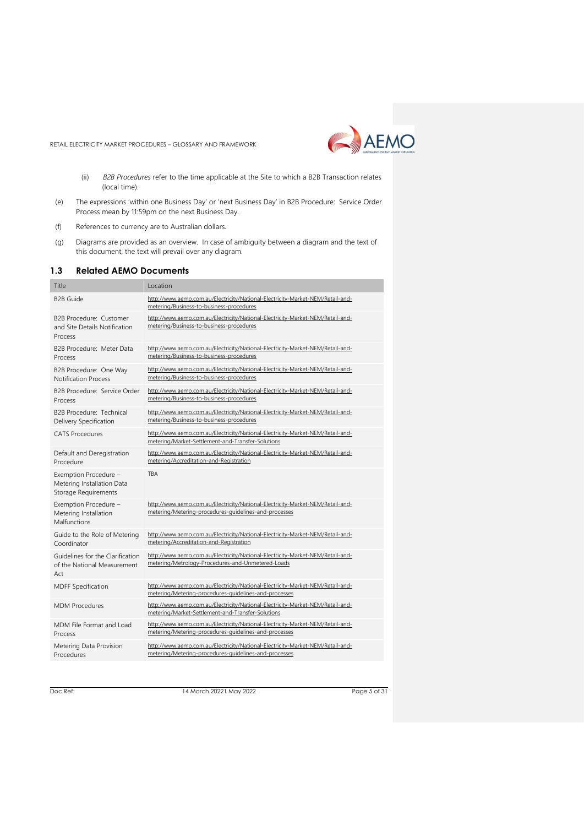

- (ii) *B2B Procedures* refer to the time applicable at the Site to which a B2B Transaction relates (local time).
- (e) The expressions 'within one Business Day' or 'next Business Day' in B2B Procedure: Service Order Process mean by 11:59pm on the next Business Day.
- (f) References to currency are to Australian dollars.
- (g) Diagrams are provided as an overview. In case of ambiguity between a diagram and the text of this document, the text will prevail over any diagram.

#### <span id="page-4-0"></span>**1.3 Related AEMO Documents**

| Title                                                                              | Location                                                                                                                                |
|------------------------------------------------------------------------------------|-----------------------------------------------------------------------------------------------------------------------------------------|
| <b>B2B Guide</b>                                                                   | http://www.aemo.com.au/Electricity/National-Electricity-Market-NEM/Retail-and-<br>metering/Business-to-business-procedures              |
| B2B Procedure: Customer<br>and Site Details Notification<br>Process                | http://www.aemo.com.au/Electricity/National-Electricity-Market-NEM/Retail-and-<br>metering/Business-to-business-procedures              |
| B2B Procedure: Meter Data<br>Process                                               | http://www.aemo.com.au/Electricity/National-Electricity-Market-NEM/Retail-and-<br>metering/Business-to-business-procedures              |
| B2B Procedure: One Way<br><b>Notification Process</b>                              | http://www.aemo.com.au/Electricity/National-Electricity-Market-NEM/Retail-and-<br>metering/Business-to-business-procedures              |
| B2B Procedure: Service Order<br>Process                                            | http://www.aemo.com.au/Electricity/National-Electricity-Market-NEM/Retail-and-<br>metering/Business-to-business-procedures              |
| B2B Procedure: Technical<br>Delivery Specification                                 | http://www.aemo.com.au/Electricity/National-Electricity-Market-NEM/Retail-and-<br>metering/Business-to-business-procedures              |
| <b>CATS Procedures</b>                                                             | http://www.aemo.com.au/Electricity/National-Electricity-Market-NEM/Retail-and-<br>metering/Market-Settlement-and-Transfer-Solutions     |
| Default and Deregistration<br>Procedure                                            | http://www.aemo.com.au/Electricity/National-Electricity-Market-NEM/Retail-and-<br>metering/Accreditation-and-Registration               |
|                                                                                    |                                                                                                                                         |
| Exemption Procedure -<br>Metering Installation Data<br><b>Storage Requirements</b> | <b>TBA</b>                                                                                                                              |
| Exemption Procedure -<br>Metering Installation<br>Malfunctions                     | http://www.aemo.com.au/Electricity/National-Electricity-Market-NEM/Retail-and-<br>metering/Metering-procedures-guidelines-and-processes |
| Guide to the Role of Metering<br>Coordinator                                       | http://www.aemo.com.au/Electricity/National-Electricity-Market-NEM/Retail-and-<br>metering/Accreditation-and-Registration               |
| Guidelines for the Clarification<br>of the National Measurement<br>Act             | http://www.aemo.com.au/Electricity/National-Electricity-Market-NEM/Retail-and-<br>metering/Metrology-Procedures-and-Unmetered-Loads     |
| <b>MDFF Specification</b>                                                          | http://www.aemo.com.au/Electricity/National-Electricity-Market-NEM/Retail-and-<br>metering/Metering-procedures-quidelines-and-processes |
| <b>MDM Procedures</b>                                                              | http://www.aemo.com.au/Electricity/National-Electricity-Market-NEM/Retail-and-<br>metering/Market-Settlement-and-Transfer-Solutions     |
| MDM File Format and Load<br>Process                                                | http://www.aemo.com.au/Electricity/National-Electricity-Market-NEM/Retail-and-<br>metering/Metering-procedures-guidelines-and-processes |

Doc Ref: 14 March 20221 May 2022 2022 Page 5 of 31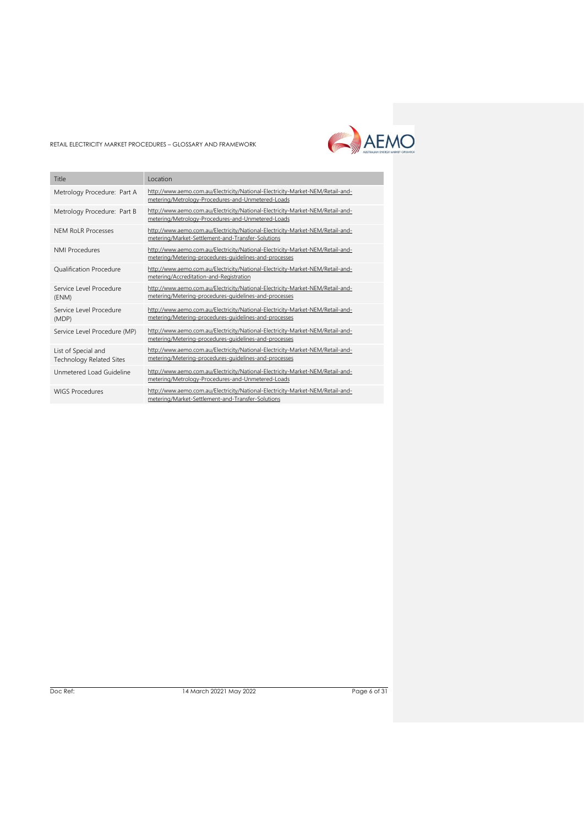

| Title                                                  | Location                                                                                                                                |
|--------------------------------------------------------|-----------------------------------------------------------------------------------------------------------------------------------------|
| Metrology Procedure: Part A                            | http://www.aemo.com.au/Electricity/National-Electricity-Market-NEM/Retail-and-<br>metering/Metrology-Procedures-and-Unmetered-Loads     |
| Metrology Procedure: Part B                            | http://www.aemo.com.au/Electricity/National-Electricity-Market-NEM/Retail-and-<br>metering/Metrology-Procedures-and-Unmetered-Loads     |
| <b>NEM RoLR Processes</b>                              | http://www.aemo.com.au/Electricity/National-Electricity-Market-NEM/Retail-and-<br>metering/Market-Settlement-and-Transfer-Solutions     |
| <b>NMI Procedures</b>                                  | http://www.aemo.com.au/Electricity/National-Electricity-Market-NEM/Retail-and-<br>metering/Metering-procedures-guidelines-and-processes |
| <b>Oualification Procedure</b>                         | http://www.aemo.com.au/Electricity/National-Electricity-Market-NEM/Retail-and-<br>metering/Accreditation-and-Registration               |
| Service Level Procedure<br>(ENM)                       | http://www.aemo.com.au/Electricity/National-Electricity-Market-NEM/Retail-and-<br>metering/Metering-procedures-guidelines-and-processes |
| Service Level Procedure<br>(MDP)                       | http://www.aemo.com.au/Electricity/National-Electricity-Market-NEM/Retail-and-<br>metering/Metering-procedures-guidelines-and-processes |
| Service Level Procedure (MP)                           | http://www.aemo.com.au/Electricity/National-Electricity-Market-NEM/Retail-and-<br>metering/Metering-procedures-guidelines-and-processes |
| List of Special and<br><b>Technology Related Sites</b> | http://www.aemo.com.au/Electricity/National-Electricity-Market-NEM/Retail-and-<br>metering/Metering-procedures-guidelines-and-processes |
| Unmetered Load Guideline                               | http://www.aemo.com.au/Electricity/National-Electricity-Market-NEM/Retail-and-<br>metering/Metrology-Procedures-and-Unmetered-Loads     |
| <b>WIGS Procedures</b>                                 | http://www.aemo.com.au/Electricity/National-Electricity-Market-NEM/Retail-and-<br>metering/Market-Settlement-and-Transfer-Solutions     |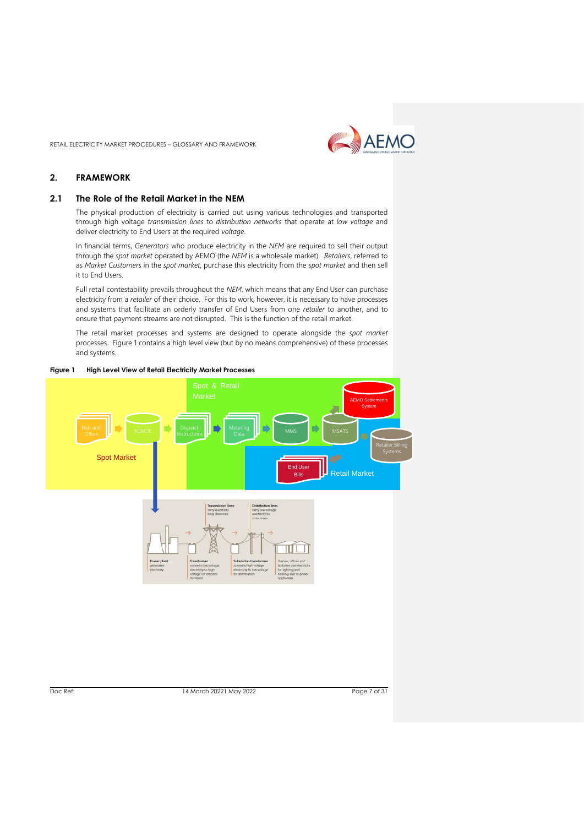

#### <span id="page-6-0"></span>**2. FRAMEWORK**

#### <span id="page-6-1"></span>**2.1 The Role of the Retail Market in the NEM**

The physical production of electricity is carried out using various technologies and transported through high voltage *transmission lines* to *distribution networks* that operate at *low voltage* and deliver electricity to End Users at the required *voltage*.

In financial terms, *Generators* who produce electricity in the *NEM* are required to sell their output through the *spot market* operated by AEMO (the *NEM* is a wholesale market). *Retailers*, referred to as *Market Customers* in the *spot market*, purchase this electricity from the *spot market* and then sell it to End Users.

Full retail contestability prevails throughout the *NEM*, which means that any End User can purchase electricity from a *retailer* of their choice. For this to work, however, it is necessary to have processes and systems that facilitate an orderly transfer of End Users from one *retailer* to another, and to ensure that payment streams are not disrupted. This is the function of the retail market.

The retail market processes and systems are designed to operate alongside the *spot market* processes. Figure 1 contains a high level view (but by no means comprehensive) of these processes and systems.



**Figure 1 High Level View of Retail Electricity Market Processes**

Doc Ref: 14 March 20221 May 2022 2022 Page 7 of 31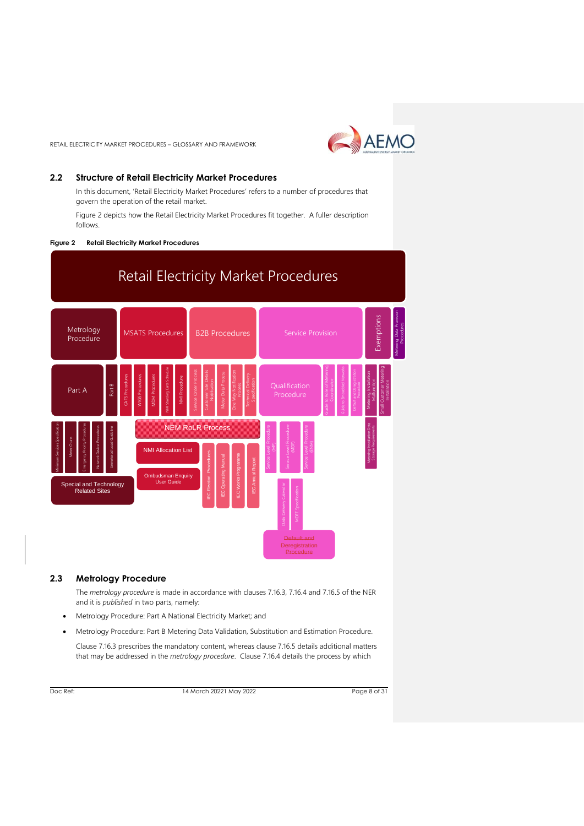

#### <span id="page-7-0"></span>**2.2 Structure of Retail Electricity Market Procedures**

In this document, 'Retail Electricity Market Procedures' refers to a number of procedures that govern the operation of the retail market.

Figure 2 depicts how the Retail Electricity Market Procedures fit together. A fuller description follows.

#### **Figure 2 Retail Electricity Market Procedures**



#### <span id="page-7-1"></span>**2.3 Metrology Procedure**

The *metrology procedure* is made in accordance with clauses 7.16.3, 7.16.4 and 7.16.5 of the NER and it is *published* in two parts, namely:

- Metrology Procedure: Part A National Electricity Market; and
- Metrology Procedure: Part B Metering Data Validation, Substitution and Estimation Procedure.

Clause 7.16.3 prescribes the mandatory content, whereas clause 7.16.5 details additional matters that may be addressed in the *metrology procedure*. Clause 7.16.4 details the process by which

Doc Ref: 14 March 20221 May 2022 2022 Page 8 of 31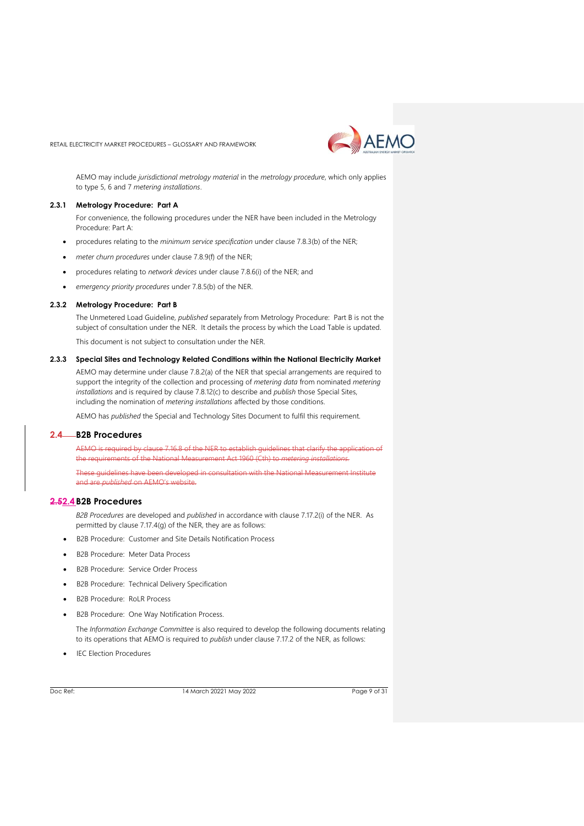

<span id="page-8-0"></span>AEMO may include *jurisdictional metrology material* in the *metrology procedure*, which only applies to type 5, 6 and 7 *metering installations*.

#### **2.3.1 Metrology Procedure: Part A**

For convenience, the following procedures under the NER have been included in the Metrology Procedure: Part A:

- procedures relating to the *minimum service specification* under clause 7.8.3(b) of the NER;
- *meter churn procedures* under clause 7.8.9(f) of the NER;
- procedures relating to *network devices* under clause 7.8.6(i) of the NER; and
- *emergency priority procedures* under 7.8.5(b) of the NER.

#### **2.3.2 Metrology Procedure: Part B**

The Unmetered Load Guideline, *published* separately from Metrology Procedure: Part B is not the subject of consultation under the NER. It details the process by which the Load Table is updated. This document is not subject to consultation under the NER.

#### **2.3.3 Special Sites and Technology Related Conditions within the National Electricity Market**

AEMO may determine under clause 7.8.2(a) of the NER that special arrangements are required to support the integrity of the collection and processing of *metering data* from nominated *metering installations* and is required by clause 7.8.12(c) to describe and *publish* those Special Sites, including the nomination of *metering installations* affected by those conditions.

<span id="page-8-1"></span>AEMO has *published* the Special and Technology Sites Document to fulfil this requirement.

#### **2.4 B2B Procedures**

AEMO is required by clause 7.16.8 of the NER to establish guidelines that clarify the application of the requirements of the National Measurement Act 1960 (Cth) to *metering installations.*

**These guidelines have been developed in consultation with the National Measurement Institute** and are *published* on AEMO's website.

#### **2.52.4 B2B Procedures**

*B2B Procedures* are developed and *published* in accordance with clause 7.17.2(i) of the NER. As permitted by clause 7.17.4(g) of the NER, they are as follows:

- B2B Procedure: Customer and Site Details Notification Process
- B2B Procedure: Meter Data Process
- B2B Procedure: Service Order Process
- B2B Procedure: Technical Delivery Specification
- B2B Procedure: RoLR Process
- B2B Procedure: One Way Notification Process.

The *Information Exchange Committee* is also required to develop the following documents relating to its operations that AEMO is required to *publish* under clause 7.17.2 of the NER, as follows:

**IEC Election Procedures** 

Doc Ref: 14 March 20221 May 2022 Page 9 of 31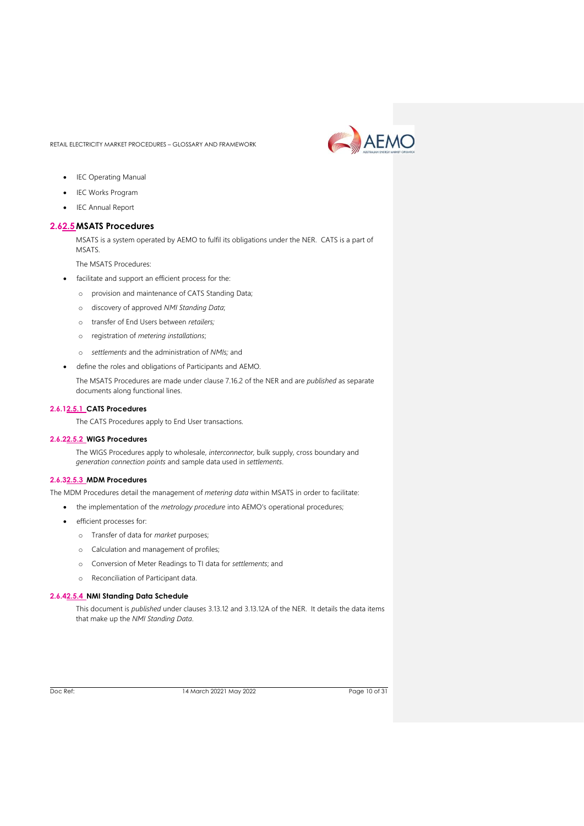

- IEC Operating Manual
- IEC Works Program
- IEC Annual Report

#### <span id="page-9-0"></span>**2.62.5MSATS Procedures**

MSATS is a system operated by AEMO to fulfil its obligations under the NER. CATS is a part of MSATS.

The MSATS Procedures:

- facilitate and support an efficient process for the:
	- o provision and maintenance of CATS Standing Data;
	- o discovery of approved *NMI Standing Data*;
	- o transfer of End Users between *retailers;*
	- o registration of *metering installations*;
	- o *settlements* and the administration of *NMIs;* and
- define the roles and obligations of Participants and AEMO.

The MSATS Procedures are made under clause 7.16.2 of the NER and are *published* as separate documents along functional lines.

#### **2.6.12.5.1 CATS Procedures**

The CATS Procedures apply to End User transactions.

#### **2.6.22.5.2 WIGS Procedures**

The WIGS Procedures apply to wholesale, *interconnector,* bulk supply, cross boundary and *generation connection points* and sample data used in *settlements*.

#### **2.6.32.5.3 MDM Procedures**

The MDM Procedures detail the management of *metering data* within MSATS in order to facilitate:

- the implementation of the *metrology procedure* into AEMO's operational procedures;
- efficient processes for:
	- o Transfer of data for *market* purposes;
	- o Calculation and management of profiles;
	- o Conversion of Meter Readings to TI data for *settlements*; and
	- o Reconciliation of Participant data.

#### **2.6.42.5.4 NMI Standing Data Schedule**

This document is *published* under clauses 3.13.12 and 3.13.12A of the NER. It details the data items that make up the *NMI Standing Data*.

Doc Ref: 14 March 20221 May 2022 2022 Page 10 of 31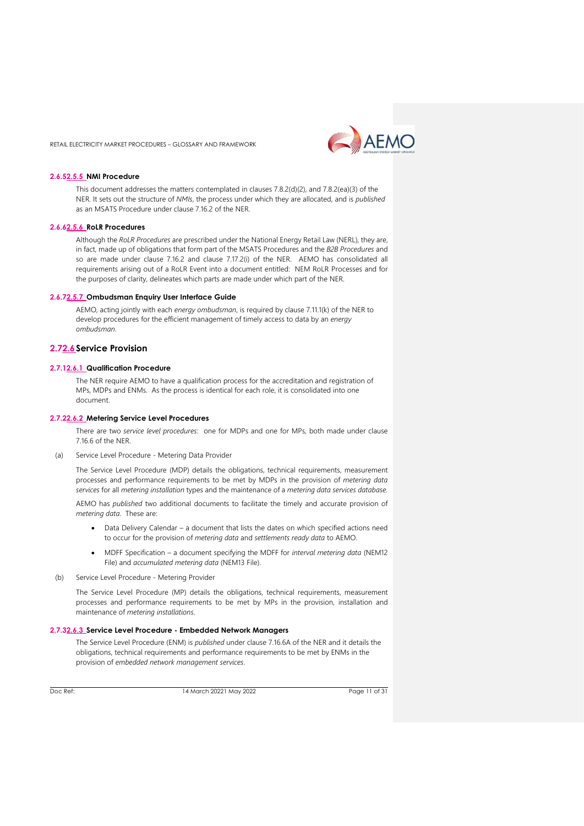

#### **2.6.52.5.5 NMI Procedure**

This document addresses the matters contemplated in clauses 7.8.2(d)(2), and 7.8.2(ea)(3) of the NER. It sets out the structure of *NMIs*, the process under which they are allocated, and is *published* as an MSATS Procedure under clause 7.16.2 of the NER.

#### **2.6.62.5.6 RoLR Procedures**

Although the *RoLR Procedures* are prescribed under the National Energy Retail Law (NERL), they are, in fact, made up of obligations that form part of the MSATS Procedures and the *B2B Procedures* and so are made under clause 7.16.2 and clause 7.17.2(i) of the NER. AEMO has consolidated all requirements arising out of a RoLR Event into a document entitled: NEM RoLR Processes and for the purposes of clarity, delineates which parts are made under which part of the NER.

#### **2.6.72.5.7 Ombudsman Enquiry User Interface Guide**

AEMO, acting jointly with each *energy ombudsman*, is required by clause 7.11.1(k) of the NER to develop procedures for the efficient management of timely access to data by an *energy ombudsman*.

#### <span id="page-10-0"></span>**2.72.6 Service Provision**

#### **2.7.12.6.1 Qualification Procedure**

The NER require AEMO to have a qualification process for the accreditation and registration of MPs, MDPs and ENMs. As the process is identical for each role, it is consolidated into one document.

#### **2.7.22.6.2 Metering Service Level Procedures**

There are two *service level procedures*: one for MDPs and one for MPs, both made under clause 7.16.6 of the NER.

(a) Service Level Procedure - Metering Data Provider

The Service Level Procedure (MDP) details the obligations, technical requirements, measurement processes and performance requirements to be met by MDPs in the provision of *metering data services* for all *metering installation* types and the maintenance of a *metering data services database.*

AEMO has *published* two additional documents to facilitate the timely and accurate provision of *metering data*. These are:

- Data Delivery Calendar a document that lists the dates on which specified actions need to occur for the provision of *metering data* and *settlements ready data* to AEMO.
- MDFF Specification a document specifying the MDFF for *interval metering data* (NEM12 File) and *accumulated metering data* (NEM13 File).
- (b) Service Level Procedure Metering Provider

The Service Level Procedure (MP) details the obligations, technical requirements, measurement processes and performance requirements to be met by MPs in the provision, installation and maintenance of *metering installations*.

#### **2.7.32.6.3 Service Level Procedure - Embedded Network Managers**

The Service Level Procedure (ENM) is *published* under clause 7.16.6A of the NER and it details the obligations, technical requirements and performance requirements to be met by ENMs in the provision of *embedded network management services*.

Doc Ref: 14 March 20221 May 2022 Page 11 of 31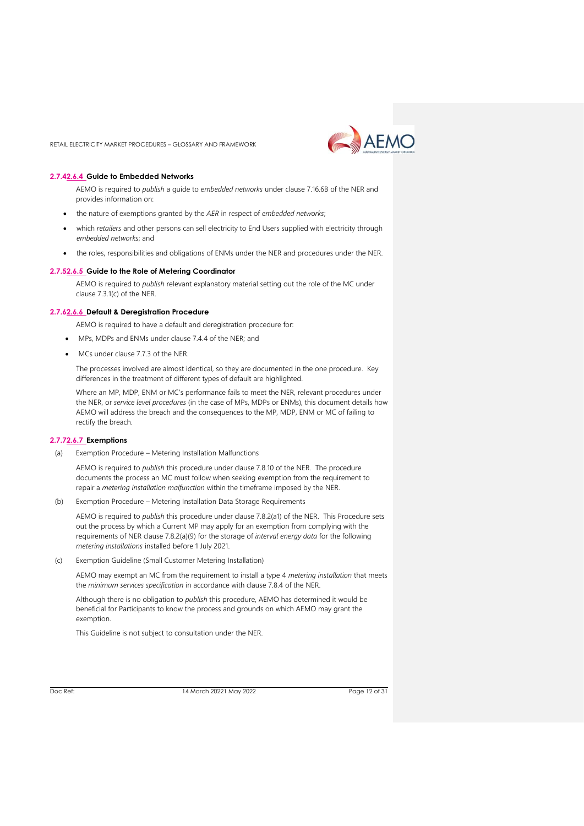

#### **2.7.42.6.4 Guide to Embedded Networks**

AEMO is required to *publish* a guide to *embedded networks* under clause 7.16.6B of the NER and provides information on:

- the nature of exemptions granted by the *AER* in respect of *embedded networks*;
- which *retailers* and other persons can sell electricity to End Users supplied with electricity through *embedded networks*; and
- the roles, responsibilities and obligations of ENMs under the NER and procedures under the NER.

#### **2.7.52.6.5 Guide to the Role of Metering Coordinator**

AEMO is required to *publish* relevant explanatory material setting out the role of the MC under clause 7.3.1(c) of the NER.

#### **2.7.62.6.6 Default & Deregistration Procedure**

AEMO is required to have a default and deregistration procedure for:

- MPs, MDPs and ENMs under clause 7.4.4 of the NER; and
- MCs under clause 7.7.3 of the NER.

The processes involved are almost identical, so they are documented in the one procedure. Key differences in the treatment of different types of default are highlighted.

Where an MP, MDP, ENM or MC's performance fails to meet the NER, relevant procedures under the NER, or *service level procedures* (in the case of MPs, MDPs or ENMs), this document details how AEMO will address the breach and the consequences to the MP, MDP, ENM or MC of failing to rectify the breach.

#### **2.7.72.6.7 Exemptions**

(a) Exemption Procedure – Metering Installation Malfunctions

AEMO is required to *publish* this procedure under clause 7.8.10 of the NER. The procedure documents the process an MC must follow when seeking exemption from the requirement to repair a *metering installation malfunction* within the timeframe imposed by the NER.

(b) Exemption Procedure – Metering Installation Data Storage Requirements

AEMO is required to *publish* this procedure under clause 7.8.2(a1) of the NER. This Procedure sets out the process by which a Current MP may apply for an exemption from complying with the requirements of NER clause 7.8.2(a)(9) for the storage of *interval energy data* for the following *metering installations* installed before 1 July 2021.

(c) Exemption Guideline (Small Customer Metering Installation)

AEMO may exempt an MC from the requirement to install a type 4 *metering installation* that meets the *minimum services specification* in accordance with clause 7.8.4 of the NER.

Although there is no obligation to *publish* this procedure, AEMO has determined it would be beneficial for Participants to know the process and grounds on which AEMO may grant the exemption.

This Guideline is not subject to consultation under the NER.

Doc Ref: 14 March 20221 May 2022 Page 12 of 31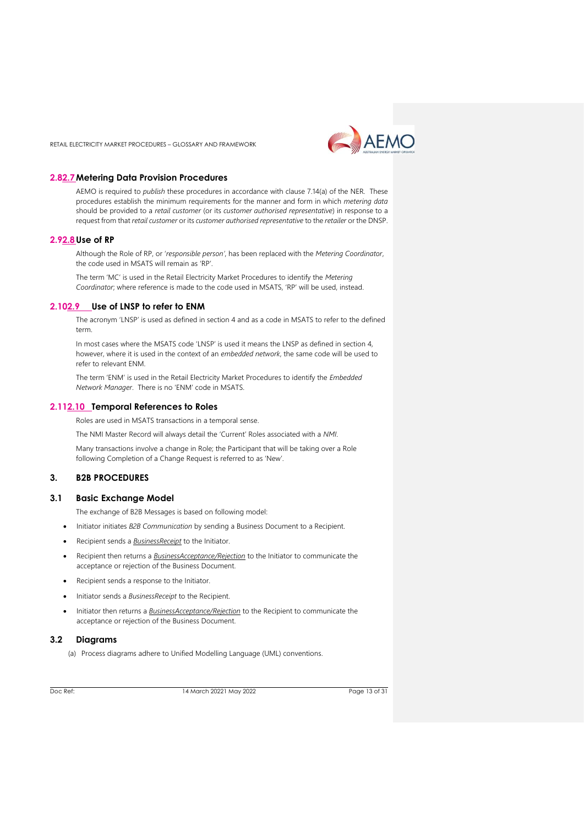

#### <span id="page-12-0"></span>**2.82.7Metering Data Provision Procedures**

AEMO is required to *publish* these procedures in accordance with clause 7.14(a) of the NER. These procedures establish the minimum requirements for the manner and form in which *metering data* should be provided to a *retail customer* (or its *customer authorised representative*) in response to a request from that *retail customer* or its *customer authorised representative* to the *retailer* or the DNSP.

#### <span id="page-12-1"></span>**2.92.8Use of RP**

Although the Role of RP, or '*responsible person'*, has been replaced with the *Metering Coordinator*, the code used in MSATS will remain as 'RP'.

The term 'MC' is used in the Retail Electricity Market Procedures to identify the *Metering Coordinator*; where reference is made to the code used in MSATS, 'RP' will be used, instead.

#### <span id="page-12-2"></span>**2.102.9 Use of LNSP to refer to ENM**

The acronym 'LNSP' is used as defined in section 4 and as a code in MSATS to refer to the defined term.

In most cases where the MSATS code 'LNSP' is used it means the LNSP as defined in section 4, however, where it is used in the context of an *embedded network*, the same code will be used to refer to relevant ENM.

The term 'ENM' is used in the Retail Electricity Market Procedures to identify the *Embedded Network Manager*. There is no 'ENM' code in MSATS.

#### <span id="page-12-3"></span>**2.112.10 Temporal References to Roles**

Roles are used in MSATS transactions in a temporal sense.

The NMI Master Record will always detail the 'Current' Roles associated with a *NMI*.

Many transactions involve a change in Role; the Participant that will be taking over a Role following Completion of a Change Request is referred to as 'New'.

#### <span id="page-12-4"></span>**3. B2B PROCEDURES**

#### <span id="page-12-5"></span>**3.1 Basic Exchange Model**

The exchange of B2B Messages is based on following model:

- Initiator initiates *B2B Communication* by sending a Business Document to a Recipient.
- Recipient sends a *BusinessReceipt* to the Initiator.
- Recipient then returns a *BusinessAcceptance/Rejection* to the Initiator to communicate the acceptance or rejection of the Business Document.
- Recipient sends a response to the Initiator.
- Initiator sends a *BusinessReceipt* to the Recipient.
- Initiator then returns a *BusinessAcceptance/Rejection* to the Recipient to communicate the acceptance or rejection of the Business Document.

#### <span id="page-12-6"></span>**3.2 Diagrams**

(a) Process diagrams adhere to Unified Modelling Language (UML) conventions.

Doc Ref: 14 March 20221 May 2022 Page 13 of 31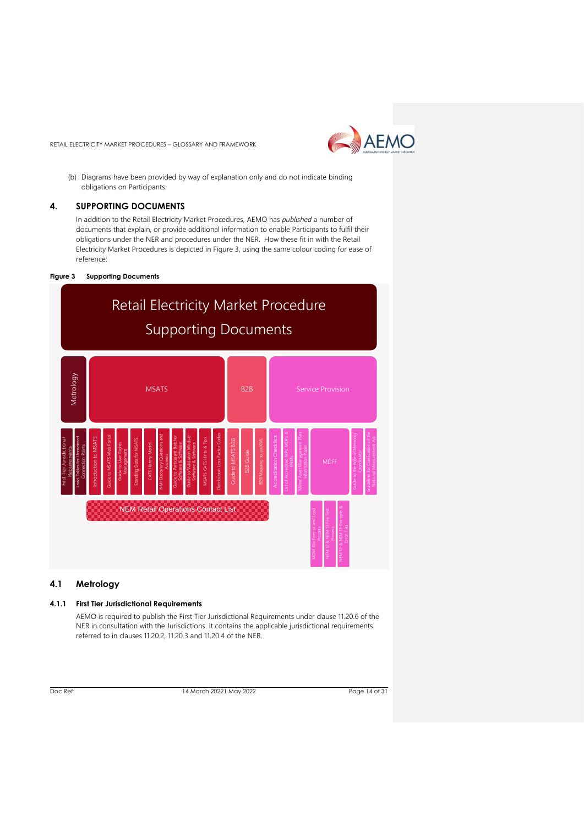

(b) Diagrams have been provided by way of explanation only and do not indicate binding obligations on Participants.

#### <span id="page-13-0"></span>**4. SUPPORTING DOCUMENTS**

In addition to the Retail Electricity Market Procedures, AEMO has *published* a number of documents that explain, or provide additional information to enable Participants to fulfil their obligations under the NER and procedures under the NER. How these fit in with the Retail Electricity Market Procedures is depicted in Figure 3, using the same colour coding for ease of reference:

#### **Figure 3 Supporting Documents**



#### <span id="page-13-1"></span>**4.1 Metrology**

#### **4.1.1 First Tier Jurisdictional Requirements**

AEMO is required to publish the First Tier Jurisdictional Requirements under clause 11.20.6 of the NER in consultation with the Jurisdictions. It contains the applicable jurisdictional requirements referred to in clauses 11.20.2, 11.20.3 and 11.20.4 of the NER.

Doc Ref: 14 March 20221 May 2022 2022 Page 14 of 31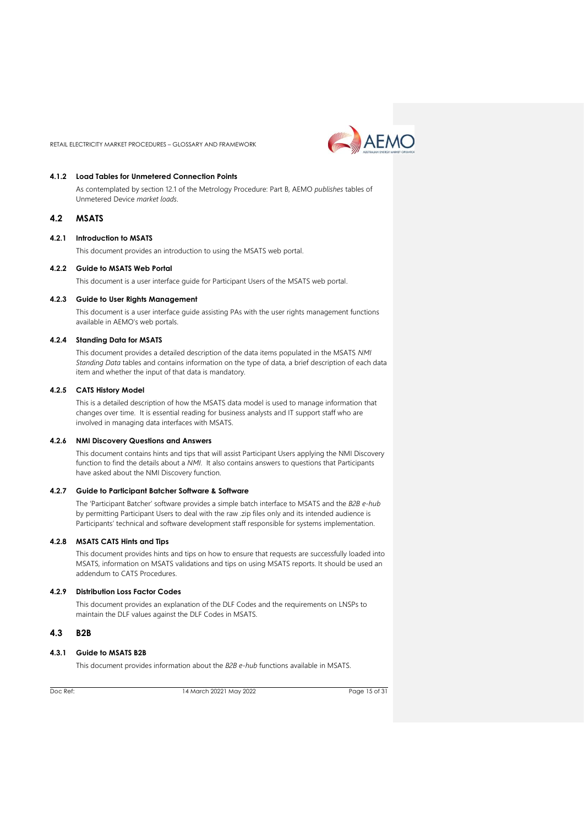

#### **4.1.2 Load Tables for Unmetered Connection Points**

As contemplated by section 12.1 of the Metrology Procedure: Part B, AEMO *publishes* tables of Unmetered Device *market loads*.

#### <span id="page-14-0"></span>**4.2 MSATS**

#### **4.2.1 Introduction to MSATS**

This document provides an introduction to using the MSATS web portal.

#### **4.2.2 Guide to MSATS Web Portal**

This document is a user interface guide for Participant Users of the MSATS web portal.

#### **4.2.3 Guide to User Rights Management**

This document is a user interface guide assisting PAs with the user rights management functions available in AEMO's web portals.

#### **4.2.4 Standing Data for MSATS**

This document provides a detailed description of the data items populated in the MSATS *NMI Standing Data* tables and contains information on the type of data, a brief description of each data item and whether the input of that data is mandatory.

#### **4.2.5 CATS History Model**

This is a detailed description of how the MSATS data model is used to manage information that changes over time. It is essential reading for business analysts and IT support staff who are involved in managing data interfaces with MSATS.

#### **4.2.6 NMI Discovery Questions and Answers**

This document contains hints and tips that will assist Participant Users applying the NMI Discovery function to find the details about a *NMI*. It also contains answers to questions that Participants have asked about the NMI Discovery function.

#### **4.2.7 Guide to Participant Batcher Software & Software**

The 'Participant Batcher' software provides a simple batch interface to MSATS and the *B2B e-hub* by permitting Participant Users to deal with the raw .zip files only and its intended audience is Participants' technical and software development staff responsible for systems implementation.

#### **4.2.8 MSATS CATS Hints and Tips**

This document provides hints and tips on how to ensure that requests are successfully loaded into MSATS, information on MSATS validations and tips on using MSATS reports. It should be used an addendum to CATS Procedures.

#### **4.2.9 Distribution Loss Factor Codes**

This document provides an explanation of the DLF Codes and the requirements on LNSPs to maintain the DLF values against the DLF Codes in MSATS.

#### <span id="page-14-1"></span>**4.3 B2B**

#### **4.3.1 Guide to MSATS B2B**

This document provides information about the *B2B e-hub* functions available in MSATS.

Doc Ref: 14 March 20221 May 2022 Page 15 of 31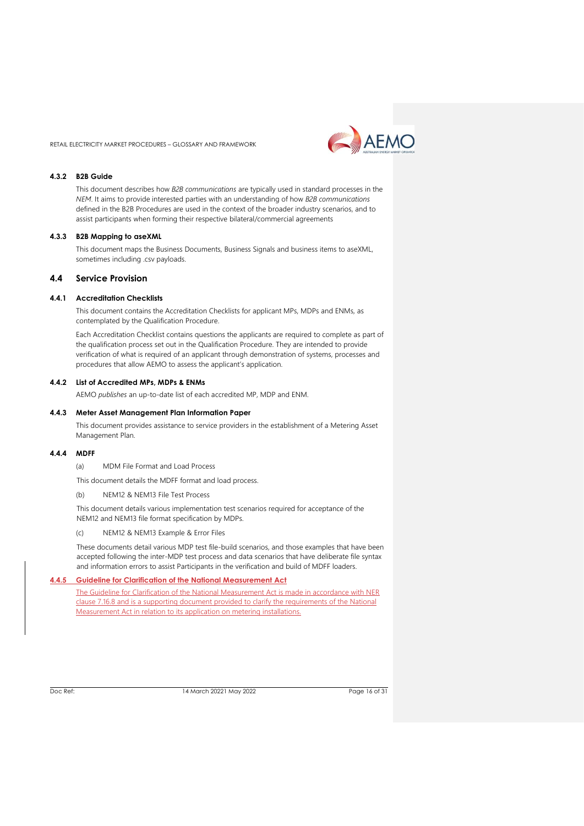AEMO

RETAIL ELECTRICITY MARKET PROCEDURES – GLOSSARY AND FRAMEWORK

#### **4.3.2 B2B Guide**

This document describes how *B2B communications* are typically used in standard processes in the *NEM*. It aims to provide interested parties with an understanding of how *B2B communications* defined in the B2B Procedures are used in the context of the broader industry scenarios, and to assist participants when forming their respective bilateral/commercial agreements

#### **4.3.3 B2B Mapping to aseXML**

This document maps the Business Documents, Business Signals and business items to aseXML, sometimes including .csv payloads.

#### <span id="page-15-0"></span>**4.4 Service Provision**

#### **4.4.1 Accreditation Checklists**

This document contains the Accreditation Checklists for applicant MPs, MDPs and ENMs, as contemplated by the Qualification Procedure.

Each Accreditation Checklist contains questions the applicants are required to complete as part of the qualification process set out in the Qualification Procedure. They are intended to provide verification of what is required of an applicant through demonstration of systems, processes and procedures that allow AEMO to assess the applicant's application.

#### **4.4.2 List of Accredited MPs, MDPs & ENMs**

AEMO *publishes* an up-to-date list of each accredited MP, MDP and ENM.

#### **4.4.3 Meter Asset Management Plan Information Paper**

This document provides assistance to service providers in the establishment of a Metering Asset Management Plan.

#### **4.4.4 MDFF**

(a) MDM File Format and Load Process

- This document details the MDFF format and load process.
- (b) NEM12 & NEM13 File Test Process

This document details various implementation test scenarios required for acceptance of the NEM12 and NEM13 file format specification by MDPs.

(c) NEM12 & NEM13 Example & Error Files

These documents detail various MDP test file-build scenarios, and those examples that have been accepted following the inter-MDP test process and data scenarios that have deliberate file syntax and information errors to assist Participants in the verification and build of MDFF loaders.

#### **4.4.5 Guideline for Clarification of the National Measurement Act**

The Guideline for Clarification of the National Measurement Act is made in accordance with NER clause 7.16.8 and is a supporting document provided to clarify the requirements of the National Measurement Act in relation to its application on metering installations.

Doc Ref: 14 March 20221 May 2022 Page 16 of 31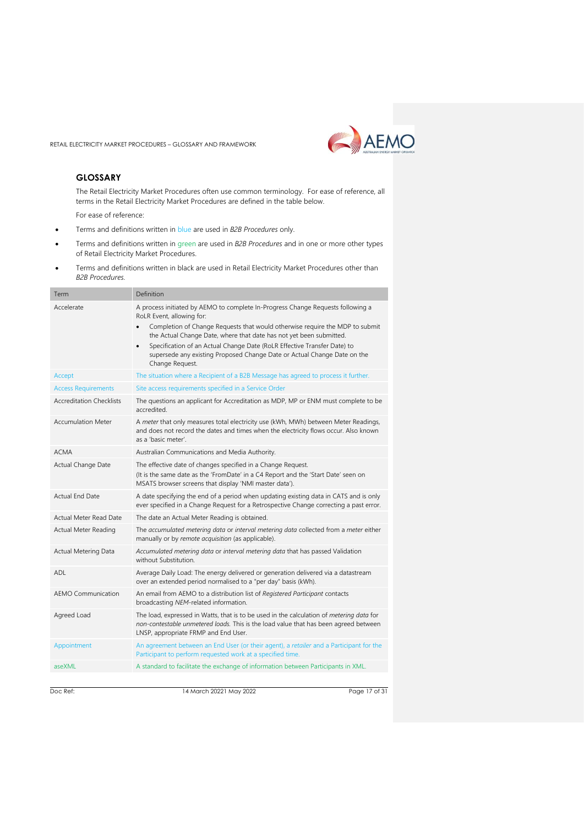

#### <span id="page-16-0"></span>**GLOSSARY**

The Retail Electricity Market Procedures often use common terminology. For ease of reference, all terms in the Retail Electricity Market Procedures are defined in the table below.

For ease of reference:

- Terms and definitions written in blue are used in *B2B Procedures* only.
- Terms and definitions written in green are used in *B2B Procedures* and in one or more other types of Retail Electricity Market Procedures.
- Terms and definitions written in black are used in Retail Electricity Market Procedures other than *B2B Procedures.*

| Term                            | Definition                                                                                                                                                                                                                                                                                                                                                                                                                                                               |
|---------------------------------|--------------------------------------------------------------------------------------------------------------------------------------------------------------------------------------------------------------------------------------------------------------------------------------------------------------------------------------------------------------------------------------------------------------------------------------------------------------------------|
| Accelerate                      | A process initiated by AEMO to complete In-Progress Change Requests following a<br>RoLR Event, allowing for:<br>Completion of Change Requests that would otherwise require the MDP to submit<br>$\bullet$<br>the Actual Change Date, where that date has not yet been submitted.<br>Specification of an Actual Change Date (RoLR Effective Transfer Date) to<br>$\bullet$<br>supersede any existing Proposed Change Date or Actual Change Date on the<br>Change Request. |
| Accept                          | The situation where a Recipient of a B2B Message has agreed to process it further.                                                                                                                                                                                                                                                                                                                                                                                       |
| <b>Access Requirements</b>      | Site access requirements specified in a Service Order                                                                                                                                                                                                                                                                                                                                                                                                                    |
| <b>Accreditation Checklists</b> | The questions an applicant for Accreditation as MDP, MP or ENM must complete to be<br>accredited.                                                                                                                                                                                                                                                                                                                                                                        |
| <b>Accumulation Meter</b>       | A meter that only measures total electricity use (kWh, MWh) between Meter Readings,<br>and does not record the dates and times when the electricity flows occur. Also known<br>as a 'basic meter'.                                                                                                                                                                                                                                                                       |
| <b>ACMA</b>                     | Australian Communications and Media Authority.                                                                                                                                                                                                                                                                                                                                                                                                                           |
| Actual Change Date              | The effective date of changes specified in a Change Request.<br>(It is the same date as the 'FromDate' in a C4 Report and the 'Start Date' seen on<br>MSATS browser screens that display 'NMI master data').                                                                                                                                                                                                                                                             |
| <b>Actual End Date</b>          | A date specifying the end of a period when updating existing data in CATS and is only<br>ever specified in a Change Request for a Retrospective Change correcting a past error.                                                                                                                                                                                                                                                                                          |
| Actual Meter Read Date          | The date an Actual Meter Reading is obtained.                                                                                                                                                                                                                                                                                                                                                                                                                            |
| Actual Meter Reading            | The accumulated metering data or interval metering data collected from a meter either<br>manually or by remote acquisition (as applicable).                                                                                                                                                                                                                                                                                                                              |
| Actual Metering Data            | Accumulated metering data or interval metering data that has passed Validation<br>without Substitution.                                                                                                                                                                                                                                                                                                                                                                  |
| ADL                             | Average Daily Load: The energy delivered or generation delivered via a datastream<br>over an extended period normalised to a "per day" basis (kWh).                                                                                                                                                                                                                                                                                                                      |
| <b>AEMO Communication</b>       | An email from AEMO to a distribution list of Registered Participant contacts<br>broadcasting NEM-related information.                                                                                                                                                                                                                                                                                                                                                    |
| Agreed Load                     | The load, expressed in Watts, that is to be used in the calculation of metering data for<br>non-contestable unmetered loads. This is the load value that has been agreed between<br>LNSP, appropriate FRMP and End User.                                                                                                                                                                                                                                                 |
| Appointment                     | An agreement between an End User (or their agent), a retailer and a Participant for the<br>Participant to perform requested work at a specified time.                                                                                                                                                                                                                                                                                                                    |
| aseXML                          | A standard to facilitate the exchange of information between Participants in XML.                                                                                                                                                                                                                                                                                                                                                                                        |
|                                 |                                                                                                                                                                                                                                                                                                                                                                                                                                                                          |

Doc Ref: 14 March 20221 May 2022 2022 Page 17 of 31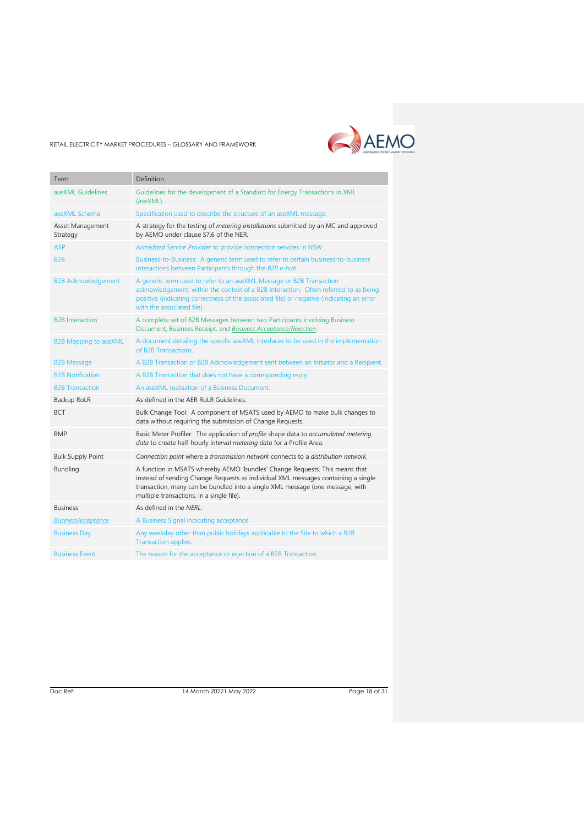

| Term                         | Definition                                                                                                                                                                                                                                                                                     |
|------------------------------|------------------------------------------------------------------------------------------------------------------------------------------------------------------------------------------------------------------------------------------------------------------------------------------------|
| aseXML Guidelines            | Guidelines for the development of a Standard for Energy Transactions in XML<br>(aseXML).                                                                                                                                                                                                       |
| aseXML Schema                | Specification used to describe the structure of an aseXML message.                                                                                                                                                                                                                             |
| Asset Management<br>Strategy | A strategy for the testing of metering installations submitted by an MC and approved<br>by AEMO under clause S7.6 of the NER.                                                                                                                                                                  |
| <b>ASP</b>                   | Accredited Service Provider to provide connection services in NSW                                                                                                                                                                                                                              |
| B <sub>2</sub> B             | Business-to-Business: A generic term used to refer to certain business-to-business<br>interactions between Participants through the B2B e-hub.                                                                                                                                                 |
| <b>B2B Acknowledgement</b>   | A generic term used to refer to an aseXML Message or B2B Transaction<br>acknowledgement, within the context of a B2B Interaction. Often referred to as being<br>positive (indicating correctness of the associated file) or negative (indicating an error<br>with the associated file).        |
| <b>B2B</b> Interaction       | A complete set of B2B Messages between two Participants involving Business<br>Document, Business Receipt, and Business Acceptance/Rejection.                                                                                                                                                   |
| <b>B2B Mapping to aseXML</b> | A document detailing the specific aseXML interfaces to be used in the implementation<br>of B2B Transactions.                                                                                                                                                                                   |
| <b>B2B Message</b>           | A B2B Transaction or B2B Acknowledgement sent between an Initiator and a Recipient.                                                                                                                                                                                                            |
| <b>B2B Notification</b>      | A B2B Transaction that does not have a corresponding reply.                                                                                                                                                                                                                                    |
| <b>B2B Transaction</b>       | An aseXML realisation of a Business Document.                                                                                                                                                                                                                                                  |
| Backup RoLR                  | As defined in the AER RoLR Guidelines.                                                                                                                                                                                                                                                         |
| <b>BCT</b>                   | Bulk Change Tool: A component of MSATS used by AEMO to make bulk changes to<br>data without requiring the submission of Change Requests.                                                                                                                                                       |
| <b>BMP</b>                   | Basic Meter Profiler: The application of profile shape data to accumulated metering<br>data to create half-hourly interval metering data for a Profile Area.                                                                                                                                   |
| <b>Bulk Supply Point</b>     | Connection point where a transmission network connects to a distribution network.                                                                                                                                                                                                              |
| Bundling                     | A function in MSATS whereby AEMO 'bundles' Change Requests. This means that<br>instead of sending Change Requests as individual XML messages containing a single<br>transaction, many can be bundled into a single XML message (one message, with<br>multiple transactions, in a single file). |
| <b>Business</b>              | As defined in the NERL.                                                                                                                                                                                                                                                                        |
| <b>BusinessAcceptance</b>    | A Business Signal indicating acceptance.                                                                                                                                                                                                                                                       |
| <b>Business Day</b>          | Any weekday other than public holidays applicable to the Site to which a B2B<br>Transaction applies.                                                                                                                                                                                           |
| <b>Business Event</b>        | The reason for the acceptance or rejection of a B2B Transaction.                                                                                                                                                                                                                               |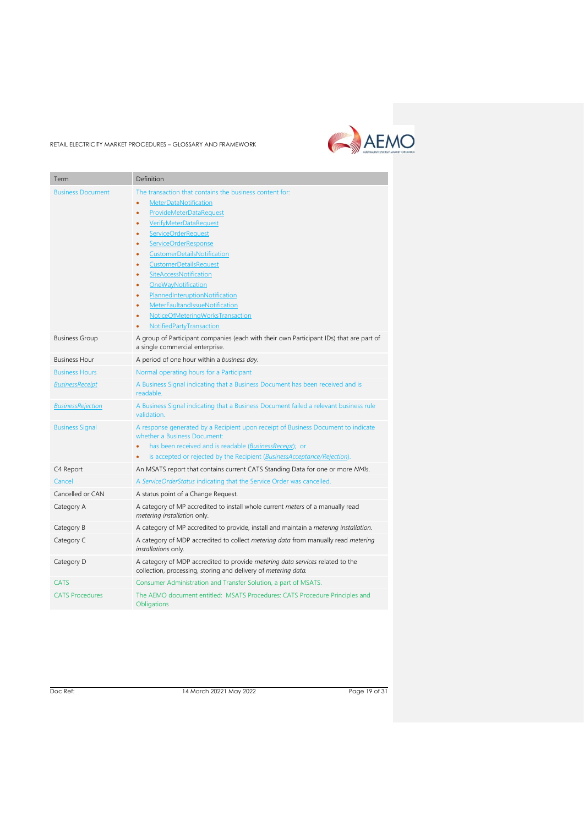## AEMO

RETAIL ELECTRICITY MARKET PROCEDURES – GLOSSARY AND FRAMEWORK

| Term                     | Definition                                                                                                                                      |
|--------------------------|-------------------------------------------------------------------------------------------------------------------------------------------------|
| <b>Business Document</b> | The transaction that contains the business content for:                                                                                         |
|                          | MeterDataNotification<br>$\bullet$                                                                                                              |
|                          | ProvideMeterDataRequest<br>٠                                                                                                                    |
|                          | VerifyMeterDataRequest<br>٠                                                                                                                     |
|                          | ServiceOrderRequest<br>٠                                                                                                                        |
|                          | <b>ServiceOrderResponse</b><br>٠                                                                                                                |
|                          | CustomerDetailsNotification<br>٠                                                                                                                |
|                          | <b>CustomerDetailsRequest</b><br>٠<br>SiteAccessNotification<br>٠                                                                               |
|                          | OneWayNotification<br>٠                                                                                                                         |
|                          | PlannedInteruptionNotification<br>٠                                                                                                             |
|                          | MeterFaultandIssueNotification<br>$\bullet$                                                                                                     |
|                          | NoticeOfMeteringWorksTransaction<br>٠                                                                                                           |
|                          | NotifiedPartyTransaction                                                                                                                        |
| <b>Business Group</b>    | A group of Participant companies (each with their own Participant IDs) that are part of<br>a single commercial enterprise.                      |
| <b>Business Hour</b>     | A period of one hour within a business day.                                                                                                     |
| <b>Business Hours</b>    | Normal operating hours for a Participant                                                                                                        |
| <b>BusinessReceipt</b>   | A Business Signal indicating that a Business Document has been received and is<br>readable.                                                     |
| <b>BusinessRejection</b> | A Business Signal indicating that a Business Document failed a relevant business rule<br>validation.                                            |
| <b>Business Signal</b>   | A response generated by a Recipient upon receipt of Business Document to indicate<br>whether a Business Document:                               |
|                          | has been received and is readable (BusinessReceipt); or                                                                                         |
|                          | is accepted or rejected by the Recipient (BusinessAcceptance/Rejection).<br>$\bullet$                                                           |
| C4 Report                | An MSATS report that contains current CATS Standing Data for one or more NMIs.                                                                  |
| Cancel                   | A ServiceOrderStatus indicating that the Service Order was cancelled.                                                                           |
| Cancelled or CAN         | A status point of a Change Request.                                                                                                             |
| Category A               | A category of MP accredited to install whole current meters of a manually read<br>metering installation only.                                   |
| Category B               | A category of MP accredited to provide, install and maintain a metering installation.                                                           |
| Category C               | A category of MDP accredited to collect metering data from manually read metering<br>installations only.                                        |
| Category D               | A category of MDP accredited to provide metering data services related to the<br>collection, processing, storing and delivery of metering data. |
| <b>CATS</b>              | Consumer Administration and Transfer Solution, a part of MSATS.                                                                                 |
| <b>CATS Procedures</b>   | The AEMO document entitled: MSATS Procedures: CATS Procedure Principles and<br>Obligations                                                      |
|                          |                                                                                                                                                 |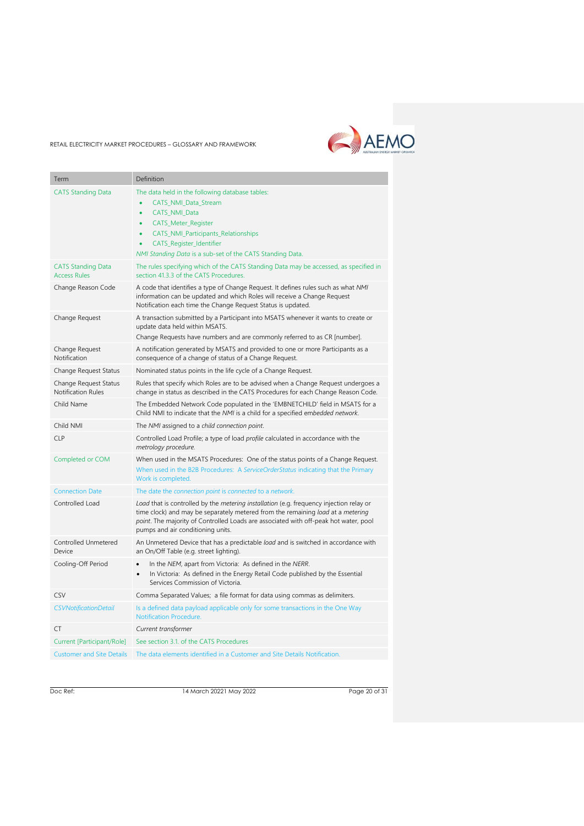

| Term                                               | Definition                                                                                                                                                                                                                                                                                                 |
|----------------------------------------------------|------------------------------------------------------------------------------------------------------------------------------------------------------------------------------------------------------------------------------------------------------------------------------------------------------------|
| <b>CATS Standing Data</b>                          | The data held in the following database tables:<br>CATS_NMI_Data_Stream<br>CATS_NMI_Data<br>$\bullet$<br><b>CATS_Meter_Register</b><br>$\bullet$<br>CATS_NMI_Participants_Relationships<br>$\bullet$<br>CATS_Register_Identifier<br>$\bullet$<br>NMI Standing Data is a sub-set of the CATS Standing Data. |
| <b>CATS Standing Data</b><br><b>Access Rules</b>   | The rules specifying which of the CATS Standing Data may be accessed, as specified in<br>section 41.3.3 of the CATS Procedures.                                                                                                                                                                            |
| Change Reason Code                                 | A code that identifies a type of Change Request. It defines rules such as what NMI<br>information can be updated and which Roles will receive a Change Request<br>Notification each time the Change Request Status is updated.                                                                             |
| Change Request                                     | A transaction submitted by a Participant into MSATS whenever it wants to create or<br>update data held within MSATS.<br>Change Requests have numbers and are commonly referred to as CR [number].                                                                                                          |
| Change Request<br>Notification                     | A notification generated by MSATS and provided to one or more Participants as a<br>consequence of a change of status of a Change Request.                                                                                                                                                                  |
| Change Request Status                              | Nominated status points in the life cycle of a Change Request.                                                                                                                                                                                                                                             |
| Change Request Status<br><b>Notification Rules</b> | Rules that specify which Roles are to be advised when a Change Request undergoes a<br>change in status as described in the CATS Procedures for each Change Reason Code.                                                                                                                                    |
| Child Name                                         | The Embedded Network Code populated in the 'EMBNETCHILD' field in MSATS for a<br>Child NMI to indicate that the NMI is a child for a specified embedded network.                                                                                                                                           |
| Child NMI                                          | The NMI assigned to a child connection point.                                                                                                                                                                                                                                                              |
| <b>CLP</b>                                         | Controlled Load Profile; a type of load profile calculated in accordance with the<br>metrology procedure.                                                                                                                                                                                                  |
| Completed or COM                                   | When used in the MSATS Procedures: One of the status points of a Change Request.<br>When used in the B2B Procedures: A ServiceOrderStatus indicating that the Primary<br>Work is completed.                                                                                                                |
| <b>Connection Date</b>                             | The date the connection point is connected to a network.                                                                                                                                                                                                                                                   |
| Controlled Load                                    | Load that is controlled by the metering installation (e.g. frequency injection relay or<br>time clock) and may be separately metered from the remaining load at a metering<br>point. The majority of Controlled Loads are associated with off-peak hot water, pool<br>pumps and air conditioning units.    |
| Controlled Unmetered<br>Device                     | An Unmetered Device that has a predictable load and is switched in accordance with<br>an On/Off Table (e.g. street lighting).                                                                                                                                                                              |
| Cooling-Off Period                                 | In the NEM, apart from Victoria: As defined in the NERR.<br>In Victoria: As defined in the Energy Retail Code published by the Essential<br>$\bullet$<br>Services Commission of Victoria.                                                                                                                  |
| <b>CSV</b>                                         | Comma Separated Values; a file format for data using commas as delimiters.                                                                                                                                                                                                                                 |
| <b>CSVNotificationDetail</b>                       | Is a defined data payload applicable only for some transactions in the One Way<br>Notification Procedure.                                                                                                                                                                                                  |
| <b>CT</b>                                          | Current transformer                                                                                                                                                                                                                                                                                        |
| Current [Participant/Role]                         | See section 3.1, of the CATS Procedures                                                                                                                                                                                                                                                                    |
| <b>Customer and Site Details</b>                   | The data elements identified in a Customer and Site Details Notification.                                                                                                                                                                                                                                  |

Doc Ref: 14 March 20221 May 2022 200631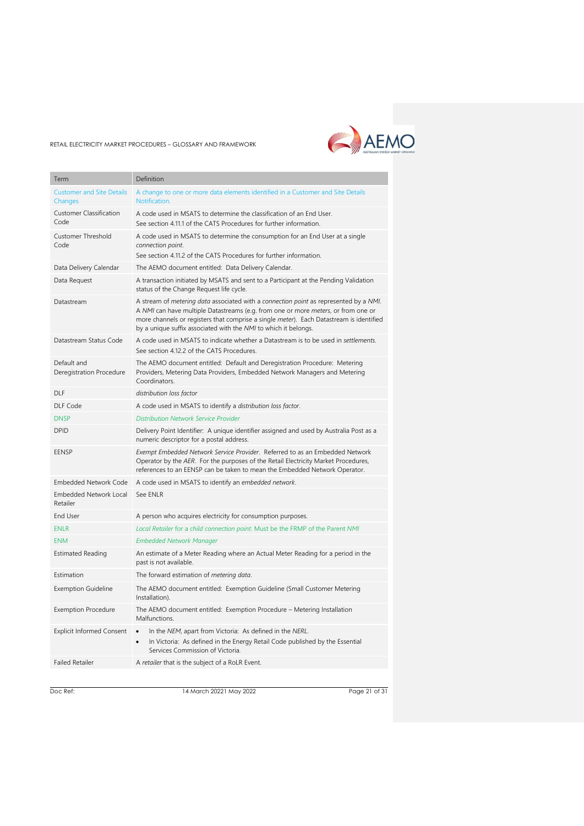

| Term                                        | Definition                                                                                                                                                                                                                                                                                                                                               |
|---------------------------------------------|----------------------------------------------------------------------------------------------------------------------------------------------------------------------------------------------------------------------------------------------------------------------------------------------------------------------------------------------------------|
| <b>Customer and Site Details</b><br>Changes | A change to one or more data elements identified in a Customer and Site Details<br>Notification.                                                                                                                                                                                                                                                         |
| <b>Customer Classification</b><br>Code      | A code used in MSATS to determine the classification of an End User.<br>See section 4.11.1 of the CATS Procedures for further information.                                                                                                                                                                                                               |
| Customer Threshold<br>Code                  | A code used in MSATS to determine the consumption for an End User at a single<br>connection point.<br>See section 4.11.2 of the CATS Procedures for further information.                                                                                                                                                                                 |
| Data Delivery Calendar                      | The AEMO document entitled: Data Delivery Calendar.                                                                                                                                                                                                                                                                                                      |
| Data Request                                | A transaction initiated by MSATS and sent to a Participant at the Pending Validation<br>status of the Change Request life cycle.                                                                                                                                                                                                                         |
| Datastream                                  | A stream of metering data associated with a connection point as represented by a NMI.<br>A NMI can have multiple Datastreams (e.g. from one or more <i>meters</i> , or from one or<br>more channels or registers that comprise a single <i>meter</i> ). Each Datastream is identified<br>by a unique suffix associated with the NMI to which it belongs. |
| Datastream Status Code                      | A code used in MSATS to indicate whether a Datastream is to be used in settlements.<br>See section 4.12.2 of the CATS Procedures.                                                                                                                                                                                                                        |
| Default and<br>Deregistration Procedure     | The AEMO document entitled: Default and Deregistration Procedure: Metering<br>Providers, Metering Data Providers, Embedded Network Managers and Metering<br>Coordinators.                                                                                                                                                                                |
| <b>DLF</b>                                  | distribution loss factor                                                                                                                                                                                                                                                                                                                                 |
| DLF Code                                    | A code used in MSATS to identify a distribution loss factor.                                                                                                                                                                                                                                                                                             |
| <b>DNSP</b>                                 | <b>Distribution Network Service Provider</b>                                                                                                                                                                                                                                                                                                             |
| <b>DPID</b>                                 | Delivery Point Identifier: A unique identifier assigned and used by Australia Post as a<br>numeric descriptor for a postal address.                                                                                                                                                                                                                      |
| <b>EENSP</b>                                | Exempt Embedded Network Service Provider. Referred to as an Embedded Network<br>Operator by the AER. For the purposes of the Retail Electricity Market Procedures,<br>references to an EENSP can be taken to mean the Embedded Network Operator.                                                                                                         |
| <b>Embedded Network Code</b>                | A code used in MSATS to identify an embedded network.                                                                                                                                                                                                                                                                                                    |
| <b>Embedded Network Local</b><br>Retailer   | See ENLR                                                                                                                                                                                                                                                                                                                                                 |
| <b>End User</b>                             | A person who acquires electricity for consumption purposes.                                                                                                                                                                                                                                                                                              |
| <b>ENLR</b>                                 | Local Retailer for a child connection point. Must be the FRMP of the Parent NMI                                                                                                                                                                                                                                                                          |
| <b>ENM</b>                                  | <b>Embedded Network Manager</b>                                                                                                                                                                                                                                                                                                                          |
| <b>Estimated Reading</b>                    | An estimate of a Meter Reading where an Actual Meter Reading for a period in the<br>past is not available.                                                                                                                                                                                                                                               |
| Estimation                                  | The forward estimation of <i>metering data</i> .                                                                                                                                                                                                                                                                                                         |
| <b>Exemption Guideline</b>                  | The AEMO document entitled: Exemption Guideline (Small Customer Metering<br>Installation).                                                                                                                                                                                                                                                               |
| <b>Exemption Procedure</b>                  | The AEMO document entitled: Exemption Procedure - Metering Installation<br>Malfunctions.                                                                                                                                                                                                                                                                 |
| <b>Explicit Informed Consent</b>            | In the NEM, apart from Victoria: As defined in the NERL.<br>$\bullet$<br>In Victoria: As defined in the Energy Retail Code published by the Essential<br>Services Commission of Victoria.                                                                                                                                                                |
| <b>Failed Retailer</b>                      | A retailer that is the subject of a RoLR Event.                                                                                                                                                                                                                                                                                                          |
|                                             |                                                                                                                                                                                                                                                                                                                                                          |

Doc Ref: 14 March 20221 May 2022 2009 Page 21 of 31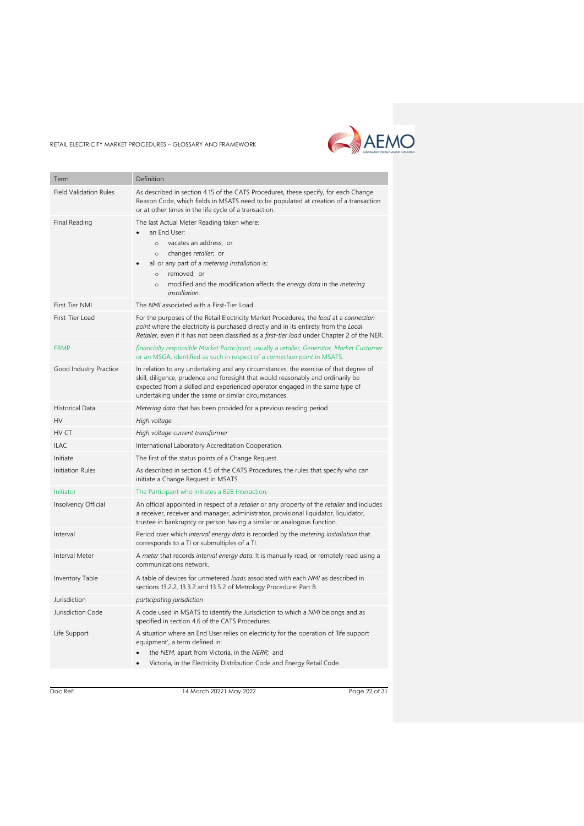

| Term                          | Definition                                                                                                                                                                                                                                                                                                          |
|-------------------------------|---------------------------------------------------------------------------------------------------------------------------------------------------------------------------------------------------------------------------------------------------------------------------------------------------------------------|
| <b>Field Validation Rules</b> | As described in section 4.15 of the CATS Procedures, these specify, for each Change<br>Reason Code, which fields in MSATS need to be populated at creation of a transaction<br>or at other times in the life cycle of a transaction.                                                                                |
| Final Reading                 | The last Actual Meter Reading taken where:<br>an End User:<br>vacates an address; or<br>$\circ$<br>changes retailer; or<br>$\circ$<br>all or any part of a metering installation is:<br>removed; or<br>$\circ$<br>modified and the modification affects the energy data in the metering<br>$\circ$<br>installation. |
| First Tier NMI                | The NMI associated with a First-Tier Load.                                                                                                                                                                                                                                                                          |
| First-Tier Load               | For the purposes of the Retail Electricity Market Procedures, the load at a connection<br>point where the electricity is purchased directly and in its entirety from the Local<br>Retailer, even if it has not been classified as a first-tier load under Chapter 2 of the NER.                                     |
| <b>FRMP</b>                   | financially responsible Market Participant, usually a retailer, Generator, Market Customer<br>or an MSGA, identified as such in respect of a connection point in MSATS.                                                                                                                                             |
| Good Industry Practice        | In relation to any undertaking and any circumstances, the exercise of that degree of<br>skill, diligence, prudence and foresight that would reasonably and ordinarily be<br>expected from a skilled and experienced operator engaged in the same type of<br>undertaking under the same or similar circumstances.    |
| Historical Data               | Metering data that has been provided for a previous reading period                                                                                                                                                                                                                                                  |
| HV                            | High voltage.                                                                                                                                                                                                                                                                                                       |
| HV CT                         | High voltage current transformer                                                                                                                                                                                                                                                                                    |
| <b>ILAC</b>                   | International Laboratory Accreditation Cooperation.                                                                                                                                                                                                                                                                 |
| Initiate                      | The first of the status points of a Change Request.                                                                                                                                                                                                                                                                 |
| Initiation Rules              | As described in section 4.5 of the CATS Procedures, the rules that specify who can<br>initiate a Change Request in MSATS.                                                                                                                                                                                           |
| Initiator                     | The Participant who initiates a B2B Interaction.                                                                                                                                                                                                                                                                    |
| Insolvency Official           | An official appointed in respect of a retailer or any property of the retailer and includes<br>a receiver, receiver and manager, administrator, provisional liquidator, liquidator,<br>trustee in bankruptcy or person having a similar or analogous function.                                                      |
| Interval                      | Period over which interval energy data is recorded by the metering installation that<br>corresponds to a TI or submultiples of a TI.                                                                                                                                                                                |
| Interval Meter                | A meter that records interval energy data. It is manually read, or remotely read using a<br>communications network.                                                                                                                                                                                                 |
| <b>Inventory Table</b>        | A table of devices for unmetered loads associated with each NMI as described in<br>sections 13.2.2, 13.3.2 and 13.5.2 of Metrology Procedure: Part B.                                                                                                                                                               |
| Jurisdiction                  | participating jurisdiction                                                                                                                                                                                                                                                                                          |
| Jurisdiction Code             | A code used in MSATS to identify the Jurisdiction to which a NMI belongs and as<br>specified in section 4.6 of the CATS Procedures.                                                                                                                                                                                 |
| Life Support                  | A situation where an End User relies on electricity for the operation of 'life support<br>equipment', a term defined in:<br>the NEM, apart from Victoria, in the NERR; and<br>Victoria, in the Electricity Distribution Code and Energy Retail Code.                                                                |

Doc Ref: 14 March 20221 May 2022 20631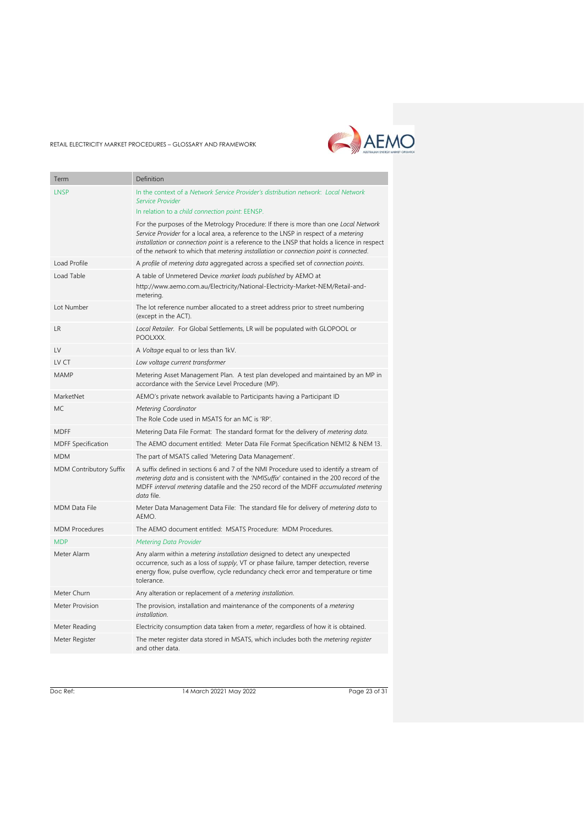

| Term                           | Definition                                                                                                                                                                                                                                                                                                                                                         |
|--------------------------------|--------------------------------------------------------------------------------------------------------------------------------------------------------------------------------------------------------------------------------------------------------------------------------------------------------------------------------------------------------------------|
| LNSP                           | In the context of a Network Service Provider's distribution network: Local Network<br><b>Service Provider</b>                                                                                                                                                                                                                                                      |
|                                | In relation to a child connection point: EENSP.                                                                                                                                                                                                                                                                                                                    |
|                                | For the purposes of the Metrology Procedure: If there is more than one Local Network<br>Service Provider for a local area, a reference to the LNSP in respect of a metering<br>installation or connection point is a reference to the LNSP that holds a licence in respect<br>of the network to which that metering installation or connection point is connected. |
| Load Profile                   | A profile of metering data aggregated across a specified set of connection points.                                                                                                                                                                                                                                                                                 |
| Load Table                     | A table of Unmetered Device market loads published by AEMO at<br>http://www.aemo.com.au/Electricity/National-Electricity-Market-NEM/Retail-and-<br>metering.                                                                                                                                                                                                       |
| Lot Number                     | The lot reference number allocated to a street address prior to street numbering<br>(except in the ACT).                                                                                                                                                                                                                                                           |
| <b>LR</b>                      | Local Retailer. For Global Settlements, LR will be populated with GLOPOOL or<br>POOLXXX.                                                                                                                                                                                                                                                                           |
| $\mathsf{IV}$                  | A Voltage equal to or less than 1kV.                                                                                                                                                                                                                                                                                                                               |
| LV CT                          | Low voltage current transformer                                                                                                                                                                                                                                                                                                                                    |
| MAMP                           | Metering Asset Management Plan. A test plan developed and maintained by an MP in<br>accordance with the Service Level Procedure (MP).                                                                                                                                                                                                                              |
| MarketNet                      | AEMO's private network available to Participants having a Participant ID                                                                                                                                                                                                                                                                                           |
| MC.                            | Metering Coordinator<br>The Role Code used in MSATS for an MC is 'RP'.                                                                                                                                                                                                                                                                                             |
| <b>MDFF</b>                    | Metering Data File Format: The standard format for the delivery of metering data.                                                                                                                                                                                                                                                                                  |
| <b>MDFF Specification</b>      | The AEMO document entitled: Meter Data File Format Specification NEM12 & NEM 13.                                                                                                                                                                                                                                                                                   |
| MDM                            | The part of MSATS called 'Metering Data Management'.                                                                                                                                                                                                                                                                                                               |
| <b>MDM Contributory Suffix</b> | A suffix defined in sections 6 and 7 of the NMI Procedure used to identify a stream of<br>metering data and is consistent with the 'NMISuffix' contained in the 200 record of the<br>MDFF interval metering datafile and the 250 record of the MDFF accumulated metering<br>data file.                                                                             |
| <b>MDM Data File</b>           | Meter Data Management Data File: The standard file for delivery of <i>metering data</i> to<br>AEMO.                                                                                                                                                                                                                                                                |
| <b>MDM Procedures</b>          | The AEMO document entitled: MSATS Procedure: MDM Procedures.                                                                                                                                                                                                                                                                                                       |
| <b>MDP</b>                     | <b>Metering Data Provider</b>                                                                                                                                                                                                                                                                                                                                      |
| Meter Alarm                    | Any alarm within a <i>metering installation</i> designed to detect any unexpected<br>occurrence, such as a loss of supply, VT or phase failure, tamper detection, reverse<br>energy flow, pulse overflow, cycle redundancy check error and temperature or time<br>tolerance.                                                                                       |
| Meter Churn                    | Any alteration or replacement of a metering installation.                                                                                                                                                                                                                                                                                                          |
| Meter Provision                | The provision, installation and maintenance of the components of a <i>metering</i><br>installation.                                                                                                                                                                                                                                                                |
| Meter Reading                  | Electricity consumption data taken from a <i>meter</i> , regardless of how it is obtained.                                                                                                                                                                                                                                                                         |
| Meter Register                 | The meter register data stored in MSATS, which includes both the <i>metering register</i><br>and other data.                                                                                                                                                                                                                                                       |

Doc Ref: 14 March 20221 May 2022 2009 Page 23 of 31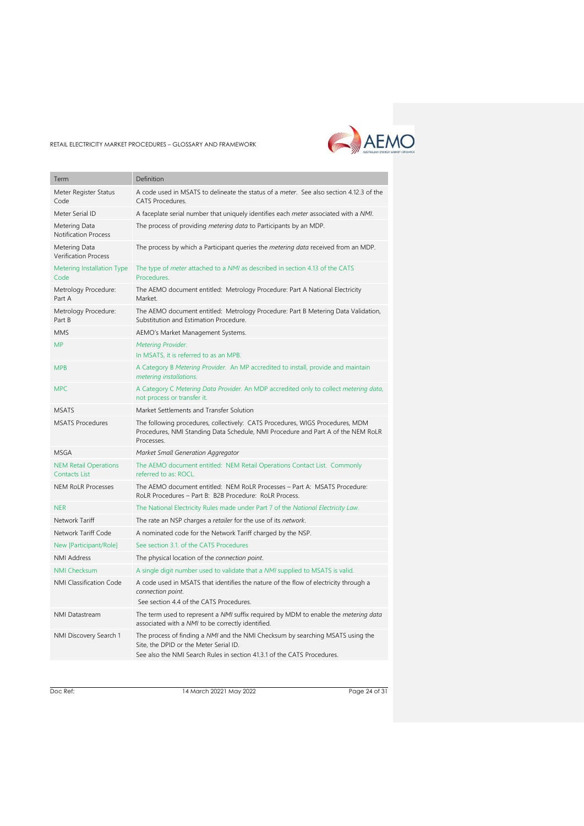

| Term                                          | Definition                                                                                                                                                                                          |
|-----------------------------------------------|-----------------------------------------------------------------------------------------------------------------------------------------------------------------------------------------------------|
| Meter Register Status<br>Code                 | A code used in MSATS to delineate the status of a meter. See also section 4.12.3 of the<br>CATS Procedures.                                                                                         |
| Meter Serial ID                               | A faceplate serial number that uniquely identifies each meter associated with a NMI.                                                                                                                |
| Metering Data<br><b>Notification Process</b>  | The process of providing metering data to Participants by an MDP.                                                                                                                                   |
| Metering Data<br><b>Verification Process</b>  | The process by which a Participant queries the <i>metering data</i> received from an MDP.                                                                                                           |
| Metering Installation Type<br>Code            | The type of <i>meter</i> attached to a <i>NMI</i> as described in section 4.13 of the CATS<br>Procedures.                                                                                           |
| Metrology Procedure:<br>Part A                | The AEMO document entitled: Metrology Procedure: Part A National Electricity<br>Market.                                                                                                             |
| Metrology Procedure:<br>Part B                | The AEMO document entitled: Metrology Procedure: Part B Metering Data Validation,<br>Substitution and Estimation Procedure.                                                                         |
| MMS                                           | AEMO's Market Management Systems.                                                                                                                                                                   |
| <b>MP</b>                                     | Metering Provider.<br>In MSATS, it is referred to as an MPB.                                                                                                                                        |
| <b>MPB</b>                                    | A Category B Metering Provider. An MP accredited to install, provide and maintain<br>metering installations.                                                                                        |
| <b>MPC</b>                                    | A Category C Metering Data Provider. An MDP accredited only to collect metering data,<br>not process or transfer it.                                                                                |
| <b>MSATS</b>                                  | Market Settlements and Transfer Solution                                                                                                                                                            |
| <b>MSATS Procedures</b>                       | The following procedures, collectively: CATS Procedures, WIGS Procedures, MDM<br>Procedures, NMI Standing Data Schedule, NMI Procedure and Part A of the NEM RoLR<br>Processes.                     |
| <b>MSGA</b>                                   | Market Small Generation Aggregator                                                                                                                                                                  |
| <b>NEM Retail Operations</b><br>Contacts List | The AEMO document entitled: NEM Retail Operations Contact List. Commonly<br>referred to as: ROCL.                                                                                                   |
| <b>NEM RoLR Processes</b>                     | The AEMO document entitled: NEM RoLR Processes - Part A: MSATS Procedure:<br>RoLR Procedures - Part B: B2B Procedure: RoLR Process.                                                                 |
| <b>NER</b>                                    | The National Electricity Rules made under Part 7 of the National Electricity Law.                                                                                                                   |
| Network Tariff                                | The rate an NSP charges a retailer for the use of its network.                                                                                                                                      |
| Network Tariff Code                           | A nominated code for the Network Tariff charged by the NSP.                                                                                                                                         |
| New [Participant/Role]                        | See section 3.1, of the CATS Procedures                                                                                                                                                             |
| <b>NMI Address</b>                            | The physical location of the connection point.                                                                                                                                                      |
| <b>NMI Checksum</b>                           | A single digit number used to validate that a NMI supplied to MSATS is valid.                                                                                                                       |
| NMI Classification Code                       | A code used in MSATS that identifies the nature of the flow of electricity through a<br>connection point.<br>See section 4.4 of the CATS Procedures.                                                |
| NMI Datastream                                | The term used to represent a NMI suffix required by MDM to enable the metering data<br>associated with a NMI to be correctly identified.                                                            |
| NMI Discovery Search 1                        | The process of finding a NMI and the NMI Checksum by searching MSATS using the<br>Site, the DPID or the Meter Serial ID.<br>See also the NMI Search Rules in section 41.3.1 of the CATS Procedures. |

Doc Ref: 14 March 20221 May 2022 2006 Page 24 of 31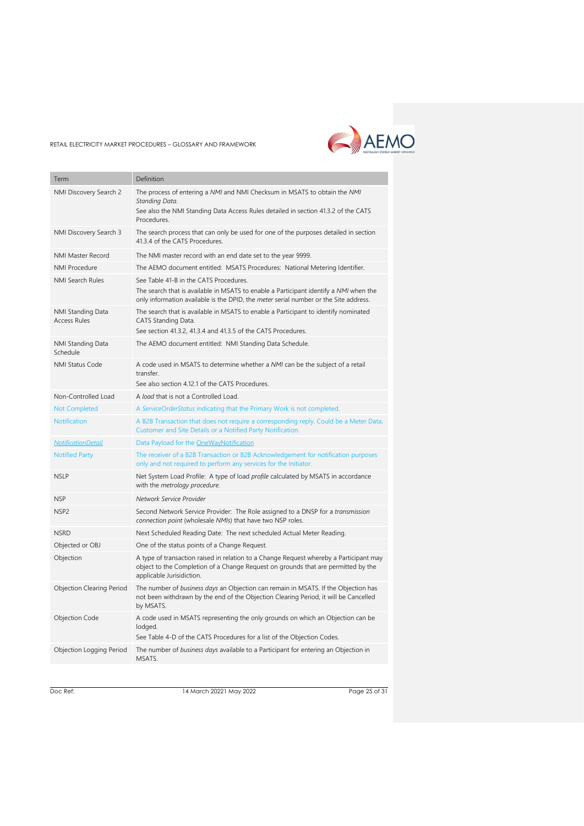

| Term                                     | Definition                                                                                                                                                                                                              |
|------------------------------------------|-------------------------------------------------------------------------------------------------------------------------------------------------------------------------------------------------------------------------|
| NMI Discovery Search 2                   | The process of entering a NMI and NMI Checksum in MSATS to obtain the NMI<br>Standing Data.<br>See also the NMI Standing Data Access Rules detailed in section 41.3.2 of the CATS<br>Procedures.                        |
| NMI Discovery Search 3                   | The search process that can only be used for one of the purposes detailed in section<br>41.3.4 of the CATS Procedures.                                                                                                  |
| <b>NMI Master Record</b>                 | The NMI master record with an end date set to the year 9999.                                                                                                                                                            |
| <b>NMI Procedure</b>                     | The AEMO document entitled: MSATS Procedures: National Metering Identifier.                                                                                                                                             |
| <b>NMI Search Rules</b>                  | See Table 41-B in the CATS Procedures.<br>The search that is available in MSATS to enable a Participant identify a NMI when the<br>only information available is the DPID, the meter serial number or the Site address. |
| NMI Standing Data<br><b>Access Rules</b> | The search that is available in MSATS to enable a Participant to identify nominated<br>CATS Standing Data.<br>See section 41.3.2, 41.3.4 and 41.3.5 of the CATS Procedures.                                             |
| NMI Standing Data<br>Schedule            | The AEMO document entitled: NMI Standing Data Schedule.                                                                                                                                                                 |
| <b>NMI Status Code</b>                   | A code used in MSATS to determine whether a NMI can be the subject of a retail<br>transfer.<br>See also section 4.12.1 of the CATS Procedures.                                                                          |
| Non-Controlled Load                      | A load that is not a Controlled Load.                                                                                                                                                                                   |
| <b>Not Completed</b>                     | A ServiceOrderStatus indicating that the Primary Work is not completed.                                                                                                                                                 |
| <b>Notification</b>                      | A B2B Transaction that does not require a corresponding reply. Could be a Meter Data,<br>Customer and Site Details or a Notified Party Notification.                                                                    |
| <b>NotificationDetail</b>                | Data Payload for the OneWayNotification                                                                                                                                                                                 |
| <b>Notified Party</b>                    | The receiver of a B2B Transaction or B2B Acknowledgement for notification purposes<br>only and not required to perform any services for the Initiator.                                                                  |
| <b>NSLP</b>                              | Net System Load Profile: A type of load profile calculated by MSATS in accordance<br>with the metrology procedure.                                                                                                      |
| <b>NSP</b>                               | Network Service Provider                                                                                                                                                                                                |
| NSP <sub>2</sub>                         | Second Network Service Provider: The Role assigned to a DNSP for a transmission<br>connection point (wholesale NMIs) that have two NSP roles.                                                                           |
| <b>NSRD</b>                              | Next Scheduled Reading Date: The next scheduled Actual Meter Reading.                                                                                                                                                   |
| Objected or OBJ                          | One of the status points of a Change Request.                                                                                                                                                                           |
| Objection                                | A type of transaction raised in relation to a Change Request whereby a Participant may<br>object to the Completion of a Change Request on grounds that are permitted by the<br>applicable Jurisidiction.                |
| Objection Clearing Period                | The number of business days an Objection can remain in MSATS. If the Objection has<br>not been withdrawn by the end of the Objection Clearing Period, it will be Cancelled<br>by MSATS.                                 |
| Objection Code                           | A code used in MSATS representing the only grounds on which an Objection can be<br>lodged.<br>See Table 4-D of the CATS Procedures for a list of the Objection Codes.                                                   |
| Objection Logging Period                 | The number of business days available to a Participant for entering an Objection in<br>MSATS.                                                                                                                           |

Doc Ref: 14 March 20221 May 2022 2006 Page 25 of 31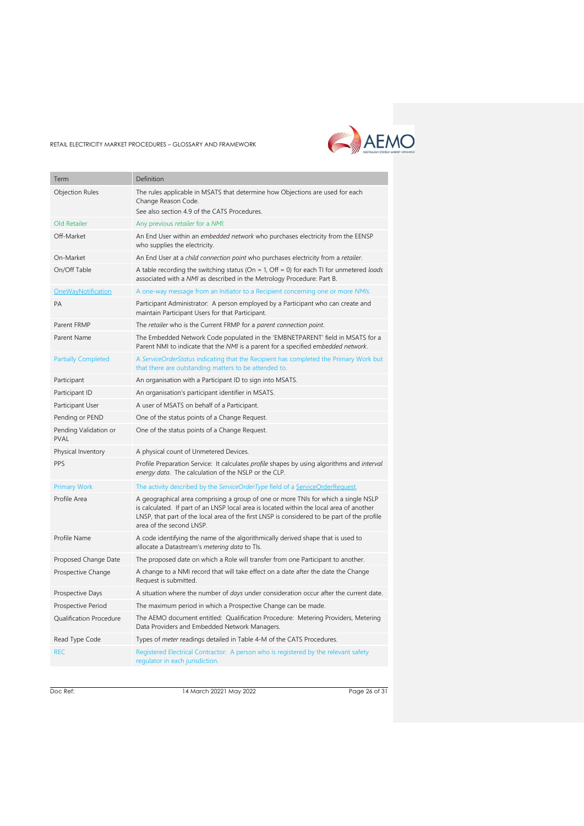

| Term                                 | Definition                                                                                                                                                                                                                                                                                                |
|--------------------------------------|-----------------------------------------------------------------------------------------------------------------------------------------------------------------------------------------------------------------------------------------------------------------------------------------------------------|
| <b>Objection Rules</b>               | The rules applicable in MSATS that determine how Objections are used for each                                                                                                                                                                                                                             |
|                                      | Change Reason Code.                                                                                                                                                                                                                                                                                       |
|                                      | See also section 4.9 of the CATS Procedures.                                                                                                                                                                                                                                                              |
| Old Retailer                         | Any previous retailer for a NMI.                                                                                                                                                                                                                                                                          |
| Off-Market                           | An End User within an embedded network who purchases electricity from the EENSP<br>who supplies the electricity.                                                                                                                                                                                          |
| On-Market                            | An End User at a child connection point who purchases electricity from a retailer.                                                                                                                                                                                                                        |
| On/Off Table                         | A table recording the switching status (On = 1, Off = 0) for each TI for unmetered loads<br>associated with a NMI as described in the Metrology Procedure: Part B.                                                                                                                                        |
| OneWayNotification                   | A one-way message from an Initiator to a Recipient concerning one or more NMIs.                                                                                                                                                                                                                           |
| <b>PA</b>                            | Participant Administrator: A person employed by a Participant who can create and<br>maintain Participant Users for that Participant.                                                                                                                                                                      |
| Parent FRMP                          | The retailer who is the Current FRMP for a parent connection point.                                                                                                                                                                                                                                       |
| Parent Name                          | The Embedded Network Code populated in the 'EMBNETPARENT' field in MSATS for a<br>Parent NMI to indicate that the NMI is a parent for a specified embedded network.                                                                                                                                       |
| <b>Partially Completed</b>           | A ServiceOrderStatus indicating that the Recipient has completed the Primary Work but<br>that there are outstanding matters to be attended to.                                                                                                                                                            |
| Participant                          | An organisation with a Participant ID to sign into MSATS.                                                                                                                                                                                                                                                 |
| Participant ID                       | An organisation's participant identifier in MSATS.                                                                                                                                                                                                                                                        |
| Participant User                     | A user of MSATS on behalf of a Participant.                                                                                                                                                                                                                                                               |
| Pending or PEND                      | One of the status points of a Change Request.                                                                                                                                                                                                                                                             |
| Pending Validation or<br><b>PVAL</b> | One of the status points of a Change Request.                                                                                                                                                                                                                                                             |
| Physical Inventory                   | A physical count of Unmetered Devices.                                                                                                                                                                                                                                                                    |
| PPS                                  | Profile Preparation Service: It calculates profile shapes by using algorithms and interval<br>energy data. The calculation of the NSLP or the CLP.                                                                                                                                                        |
| <b>Primary Work</b>                  | The activity described by the ServiceOrderType field of a ServiceOrderRequest.                                                                                                                                                                                                                            |
| Profile Area                         | A geographical area comprising a group of one or more TNIs for which a single NSLP<br>is calculated. If part of an LNSP local area is located within the local area of another<br>LNSP, that part of the local area of the first LNSP is considered to be part of the profile<br>area of the second LNSP. |
| Profile Name                         | A code identifying the name of the algorithmically derived shape that is used to<br>allocate a Datastream's metering data to TIs.                                                                                                                                                                         |
| Proposed Change Date                 | The proposed date on which a Role will transfer from one Participant to another.                                                                                                                                                                                                                          |
| Prospective Change                   | A change to a NMI record that will take effect on a date after the date the Change<br>Request is submitted.                                                                                                                                                                                               |
| Prospective Days                     | A situation where the number of <i>days</i> under consideration occur after the current date.                                                                                                                                                                                                             |
| Prospective Period                   | The maximum period in which a Prospective Change can be made.                                                                                                                                                                                                                                             |
| Qualification Procedure              | The AEMO document entitled: Qualification Procedure: Metering Providers, Metering<br>Data Providers and Embedded Network Managers.                                                                                                                                                                        |
| Read Type Code                       | Types of meter readings detailed in Table 4-M of the CATS Procedures.                                                                                                                                                                                                                                     |
| <b>REC</b>                           | Registered Electrical Contractor: A person who is registered by the relevant safety<br>regulator in each jurisdiction.                                                                                                                                                                                    |
|                                      |                                                                                                                                                                                                                                                                                                           |

Doc Ref: 14 March 20221 May 2022 2006 9120 Page 26 of 31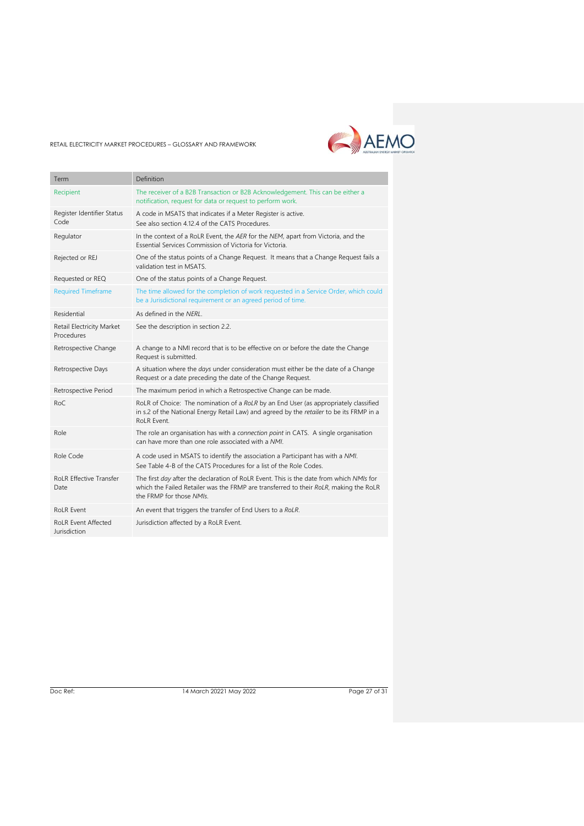

| Term                                       | Definition                                                                                                                                                                                                   |
|--------------------------------------------|--------------------------------------------------------------------------------------------------------------------------------------------------------------------------------------------------------------|
| Recipient                                  | The receiver of a B2B Transaction or B2B Acknowledgement. This can be either a<br>notification, request for data or request to perform work.                                                                 |
| Register Identifier Status<br>Code         | A code in MSATS that indicates if a Meter Register is active.<br>See also section 4.12.4 of the CATS Procedures.                                                                                             |
| Regulator                                  | In the context of a RoLR Event, the AER for the NEM, apart from Victoria, and the<br>Essential Services Commission of Victoria for Victoria.                                                                 |
| Rejected or REJ                            | One of the status points of a Change Request. It means that a Change Request fails a<br>validation test in MSATS.                                                                                            |
| Requested or REQ                           | One of the status points of a Change Request.                                                                                                                                                                |
| <b>Required Timeframe</b>                  | The time allowed for the completion of work requested in a Service Order, which could<br>be a Jurisdictional requirement or an agreed period of time.                                                        |
| Residential                                | As defined in the NERL.                                                                                                                                                                                      |
| Retail Electricity Market<br>Procedures    | See the description in section 2.2.                                                                                                                                                                          |
| Retrospective Change                       | A change to a NMI record that is to be effective on or before the date the Change<br>Request is submitted.                                                                                                   |
| Retrospective Days                         | A situation where the <i>days</i> under consideration must either be the date of a Change<br>Request or a date preceding the date of the Change Request.                                                     |
| Retrospective Period                       | The maximum period in which a Retrospective Change can be made.                                                                                                                                              |
| RoC                                        | RoLR of Choice: The nomination of a RoLR by an End User (as appropriately classified<br>in s.2 of the National Energy Retail Law) and agreed by the retailer to be its FRMP in a<br>RoLR Event.              |
| Role                                       | The role an organisation has with a connection point in CATS. A single organisation<br>can have more than one role associated with a NMI.                                                                    |
| Role Code                                  | A code used in MSATS to identify the association a Participant has with a NMI.<br>See Table 4-B of the CATS Procedures for a list of the Role Codes.                                                         |
| <b>RoLR Effective Transfer</b><br>Date     | The first day after the declaration of RoLR Event. This is the date from which NMIs for<br>which the Failed Retailer was the FRMP are transferred to their RoLR, making the RoLR<br>the FRMP for those NMIs. |
| RoLR Event                                 | An event that triggers the transfer of End Users to a RoLR.                                                                                                                                                  |
| <b>RoLR Event Affected</b><br>Jurisdiction | Jurisdiction affected by a RoLR Event.                                                                                                                                                                       |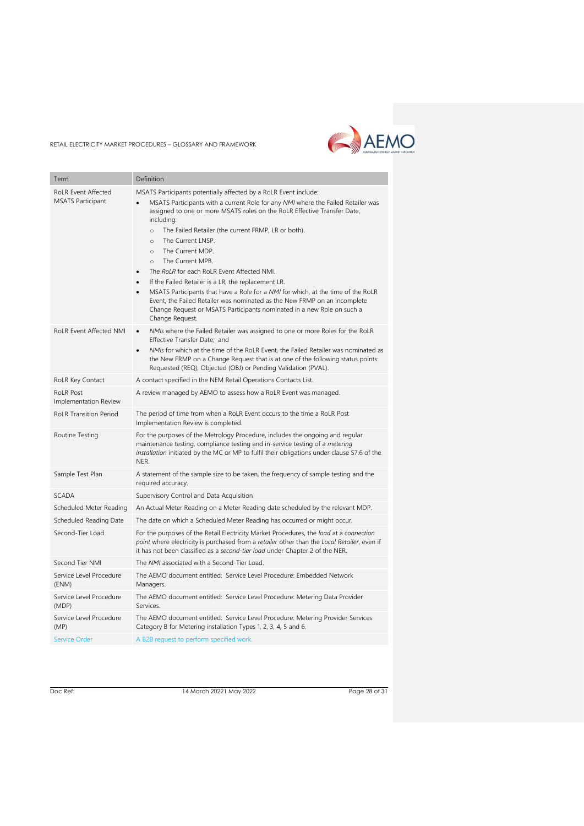

| Term                                                   | Definition                                                                                                                                                                                                                                                                                                                                                                                                                                                                                                                                                                                                                                                                                                                                                                                      |
|--------------------------------------------------------|-------------------------------------------------------------------------------------------------------------------------------------------------------------------------------------------------------------------------------------------------------------------------------------------------------------------------------------------------------------------------------------------------------------------------------------------------------------------------------------------------------------------------------------------------------------------------------------------------------------------------------------------------------------------------------------------------------------------------------------------------------------------------------------------------|
| <b>RoLR Event Affected</b><br><b>MSATS Participant</b> | MSATS Participants potentially affected by a RoLR Event include:<br>MSATS Participants with a current Role for any NMI where the Failed Retailer was<br>assigned to one or more MSATS roles on the RoLR Effective Transfer Date,<br>including:<br>The Failed Retailer (the current FRMP, LR or both).<br>$\circ$<br>The Current LNSP.<br>$\circ$<br>The Current MDP.<br>$\circ$<br>The Current MPB.<br>$\Omega$<br>The RoLR for each RoLR Event Affected NMI.<br>If the Failed Retailer is a LR, the replacement LR.<br>MSATS Participants that have a Role for a NMI for which, at the time of the RoLR<br>$\bullet$<br>Event, the Failed Retailer was nominated as the New FRMP on an incomplete<br>Change Request or MSATS Participants nominated in a new Role on such a<br>Change Request. |
| <b>RoLR Event Affected NMI</b>                         | NMIs where the Failed Retailer was assigned to one or more Roles for the RoLR<br>Effective Transfer Date; and<br>NMIs for which at the time of the RoLR Event, the Failed Retailer was nominated as<br>$\bullet$<br>the New FRMP on a Change Request that is at one of the following status points:<br>Requested (REQ), Objected (OBJ) or Pending Validation (PVAL).                                                                                                                                                                                                                                                                                                                                                                                                                            |
| RoLR Key Contact                                       | A contact specified in the NEM Retail Operations Contacts List.                                                                                                                                                                                                                                                                                                                                                                                                                                                                                                                                                                                                                                                                                                                                 |
| <b>RoLR Post</b><br>Implementation Review              | A review managed by AEMO to assess how a RoLR Event was managed.                                                                                                                                                                                                                                                                                                                                                                                                                                                                                                                                                                                                                                                                                                                                |
| <b>RoLR Transition Period</b>                          | The period of time from when a RoLR Event occurs to the time a RoLR Post<br>Implementation Review is completed.                                                                                                                                                                                                                                                                                                                                                                                                                                                                                                                                                                                                                                                                                 |
| Routine Testing                                        | For the purposes of the Metrology Procedure, includes the ongoing and regular<br>maintenance testing, compliance testing and in-service testing of a <i>metering</i><br>installation initiated by the MC or MP to fulfil their obligations under clause S7.6 of the<br>NER.                                                                                                                                                                                                                                                                                                                                                                                                                                                                                                                     |
| Sample Test Plan                                       | A statement of the sample size to be taken, the frequency of sample testing and the<br>required accuracy.                                                                                                                                                                                                                                                                                                                                                                                                                                                                                                                                                                                                                                                                                       |
| <b>SCADA</b>                                           | Supervisory Control and Data Acquisition                                                                                                                                                                                                                                                                                                                                                                                                                                                                                                                                                                                                                                                                                                                                                        |
| Scheduled Meter Reading                                | An Actual Meter Reading on a Meter Reading date scheduled by the relevant MDP.                                                                                                                                                                                                                                                                                                                                                                                                                                                                                                                                                                                                                                                                                                                  |
| Scheduled Reading Date                                 | The date on which a Scheduled Meter Reading has occurred or might occur.                                                                                                                                                                                                                                                                                                                                                                                                                                                                                                                                                                                                                                                                                                                        |
| Second-Tier Load                                       | For the purposes of the Retail Electricity Market Procedures, the load at a connection<br>point where electricity is purchased from a retailer other than the Local Retailer, even if<br>it has not been classified as a second-tier load under Chapter 2 of the NER.                                                                                                                                                                                                                                                                                                                                                                                                                                                                                                                           |
| Second Tier NMI                                        | The NMI associated with a Second-Tier Load.                                                                                                                                                                                                                                                                                                                                                                                                                                                                                                                                                                                                                                                                                                                                                     |
| Service Level Procedure<br>(ENM)                       | The AEMO document entitled: Service Level Procedure: Embedded Network<br>Managers.                                                                                                                                                                                                                                                                                                                                                                                                                                                                                                                                                                                                                                                                                                              |
| Service Level Procedure<br>(MDP)                       | The AEMO document entitled: Service Level Procedure: Metering Data Provider<br>Services.                                                                                                                                                                                                                                                                                                                                                                                                                                                                                                                                                                                                                                                                                                        |
| Service Level Procedure<br>(MP)                        | The AEMO document entitled: Service Level Procedure: Metering Provider Services<br>Category B for Metering installation Types 1, 2, 3, 4, 5 and 6.                                                                                                                                                                                                                                                                                                                                                                                                                                                                                                                                                                                                                                              |
| <b>Service Order</b>                                   | A B2B request to perform specified work.                                                                                                                                                                                                                                                                                                                                                                                                                                                                                                                                                                                                                                                                                                                                                        |

Doc Ref: 14 March 20221 May 2022 2006 31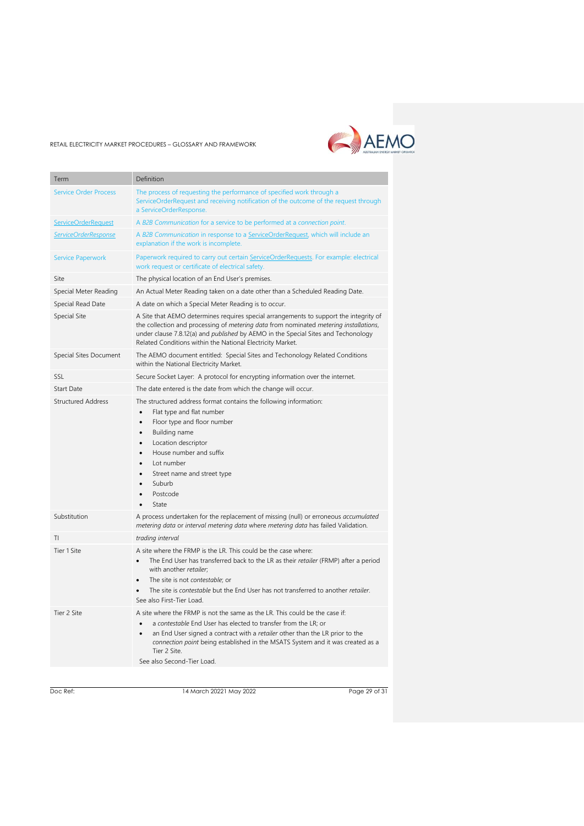# AEMO

#### RETAIL ELECTRICITY MARKET PROCEDURES – GLOSSARY AND FRAMEWORK

| Term                         | Definition                                                                                                                                                                                                                                                                                                                                                                    |
|------------------------------|-------------------------------------------------------------------------------------------------------------------------------------------------------------------------------------------------------------------------------------------------------------------------------------------------------------------------------------------------------------------------------|
|                              |                                                                                                                                                                                                                                                                                                                                                                               |
| <b>Service Order Process</b> | The process of requesting the performance of specified work through a<br>ServiceOrderRequest and receiving notification of the outcome of the request through<br>a ServiceOrderResponse.                                                                                                                                                                                      |
| ServiceOrderRequest          | A B2B Communication for a service to be performed at a connection point.                                                                                                                                                                                                                                                                                                      |
| ServiceOrderResponse         | A B2B Communication in response to a ServiceOrderRequest, which will include an<br>explanation if the work is incomplete.                                                                                                                                                                                                                                                     |
| <b>Service Paperwork</b>     | Paperwork required to carry out certain ServiceOrderRequests. For example: electrical<br>work request or certificate of electrical safety.                                                                                                                                                                                                                                    |
| Site                         | The physical location of an End User's premises.                                                                                                                                                                                                                                                                                                                              |
| Special Meter Reading        | An Actual Meter Reading taken on a date other than a Scheduled Reading Date.                                                                                                                                                                                                                                                                                                  |
| Special Read Date            | A date on which a Special Meter Reading is to occur.                                                                                                                                                                                                                                                                                                                          |
| Special Site                 | A Site that AEMO determines requires special arrangements to support the integrity of<br>the collection and processing of metering data from nominated metering installations,<br>under clause 7.8.12(a) and <i>published</i> by AEMO in the Special Sites and Techonology<br>Related Conditions within the National Electricity Market.                                      |
| Special Sites Document       | The AEMO document entitled: Special Sites and Techonology Related Conditions<br>within the National Electricity Market.                                                                                                                                                                                                                                                       |
| SSL                          | Secure Socket Layer: A protocol for encrypting information over the internet.                                                                                                                                                                                                                                                                                                 |
| <b>Start Date</b>            | The date entered is the date from which the change will occur.                                                                                                                                                                                                                                                                                                                |
| <b>Structured Address</b>    | The structured address format contains the following information:<br>Flat type and flat number<br>$\bullet$<br>Floor type and floor number<br>$\bullet$<br>Building name<br>$\bullet$<br>Location descriptor<br>$\bullet$<br>House number and suffix<br>$\bullet$<br>Lot number<br>Street name and street type<br>Suburb<br>Postcode<br>State                                 |
| Substitution                 | A process undertaken for the replacement of missing (null) or erroneous accumulated<br>metering data or interval metering data where metering data has failed Validation.                                                                                                                                                                                                     |
| ΤI                           | trading interval                                                                                                                                                                                                                                                                                                                                                              |
| Tier 1 Site                  | A site where the FRMP is the LR. This could be the case where:<br>The End User has transferred back to the LR as their retailer (FRMP) after a period<br>$\bullet$<br>with another retailer;<br>The site is not contestable; or<br>$\bullet$<br>The site is <i>contestable</i> but the End User has not transferred to another <i>retailer</i> .<br>See also First-Tier Load. |
| Tier 2 Site                  | A site where the FRMP is not the same as the LR. This could be the case if:<br>a contestable End User has elected to transfer from the LR; or<br>$\bullet$<br>an End User signed a contract with a retailer other than the LR prior to the<br>connection point being established in the MSATS System and it was created as a<br>Tier 2 Site.<br>See also Second-Tier Load.    |

Doc Ref: 14 March 20221 May 2022 2006 9120 Page 29 of 31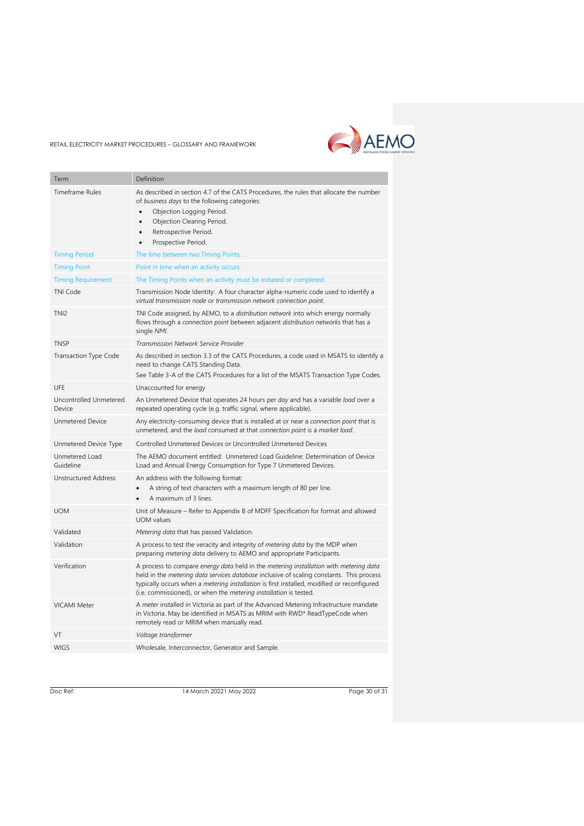

| Term                             | Definition                                                                                                                                                                                                                                                                                                                                                                |
|----------------------------------|---------------------------------------------------------------------------------------------------------------------------------------------------------------------------------------------------------------------------------------------------------------------------------------------------------------------------------------------------------------------------|
| <b>Timeframe Rules</b>           | As described in section 4.7 of the CATS Procedures, the rules that allocate the number<br>of business days to the following categories:<br>Objection Logging Period.<br>$\bullet$<br>Objection Clearing Period.<br>$\bullet$<br>Retrospective Period.<br>$\bullet$<br>Prospective Period.                                                                                 |
| <b>Timing Period</b>             | The time between two Timing Points.                                                                                                                                                                                                                                                                                                                                       |
| <b>Timing Point</b>              | Point in time when an activity occurs.                                                                                                                                                                                                                                                                                                                                    |
| <b>Timing Requirement</b>        | The Timing Points when an activity must be initiated or completed.                                                                                                                                                                                                                                                                                                        |
| <b>TNI Code</b>                  | Transmission Node Identity: A four character alpha-numeric code used to identify a<br>virtual transmission node or transmission network connection point.                                                                                                                                                                                                                 |
| TNI <sub>2</sub>                 | TNI Code assigned, by AEMO, to a distribution network into which energy normally<br>flows through a connection point between adjacent distribution networks that has a<br>single NMI.                                                                                                                                                                                     |
| <b>TNSP</b>                      | Transmission Network Service Provider                                                                                                                                                                                                                                                                                                                                     |
| <b>Transaction Type Code</b>     | As described in section 3.3 of the CATS Procedures, a code used in MSATS to identify a<br>need to change CATS Standing Data.<br>See Table 3-A of the CATS Procedures for a list of the MSATS Transaction Type Codes.                                                                                                                                                      |
| UFE                              | Unaccounted for energy                                                                                                                                                                                                                                                                                                                                                    |
| Uncontrolled Unmetered<br>Device | An Unmetered Device that operates 24 hours per day and has a variable load over a<br>repeated operating cycle (e.g. traffic signal, where applicable).                                                                                                                                                                                                                    |
| <b>Unmetered Device</b>          | Any electricity-consuming device that is installed at or near a connection point that is<br>unmetered, and the load consumed at that connection point is a market load.                                                                                                                                                                                                   |
| Unmetered Device Type            | Controlled Unmetered Devices or Uncontrolled Unmetered Devices                                                                                                                                                                                                                                                                                                            |
| Unmetered Load<br>Guideline      | The AEMO document entitled: Unmetered Load Guideline: Determination of Device<br>Load and Annual Energy Consumption for Type 7 Unmetered Devices.                                                                                                                                                                                                                         |
| <b>Unstructured Address</b>      | An address with the following format:<br>A string of text characters with a maximum length of 80 per line.<br>A maximum of 3 lines.                                                                                                                                                                                                                                       |
| <b>UOM</b>                       | Unit of Measure - Refer to Appendix B of MDFF Specification for format and allowed<br><b>UOM</b> values                                                                                                                                                                                                                                                                   |
| Validated                        | Metering data that has passed Validation.                                                                                                                                                                                                                                                                                                                                 |
| Validation                       | A process to test the veracity and integrity of <i>metering data</i> by the MDP when<br>preparing metering data delivery to AEMO and appropriate Participants.                                                                                                                                                                                                            |
| Verification                     | A process to compare energy data held in the metering installation with metering data<br>held in the <i>metering data services database</i> inclusive of scaling constants. This process<br>typically occurs when a <i>metering installation</i> is first installed, modified or reconfigured<br>(i.e. commissioned), or when the <i>metering installation</i> is tested. |
| <b>VICAMI Meter</b>              | A meter installed in Victoria as part of the Advanced Metering Infrastructure mandate<br>in Victoria. May be identified in MSATS as MRIM with RWD* ReadTypeCode when<br>remotely read or MRIM when manually read.                                                                                                                                                         |
| VT                               | Voltage transformer                                                                                                                                                                                                                                                                                                                                                       |
| <b>WIGS</b>                      | Wholesale, Interconnector, Generator and Sample.                                                                                                                                                                                                                                                                                                                          |

Doc Ref: 14 March 20221 May 2022 2006 31